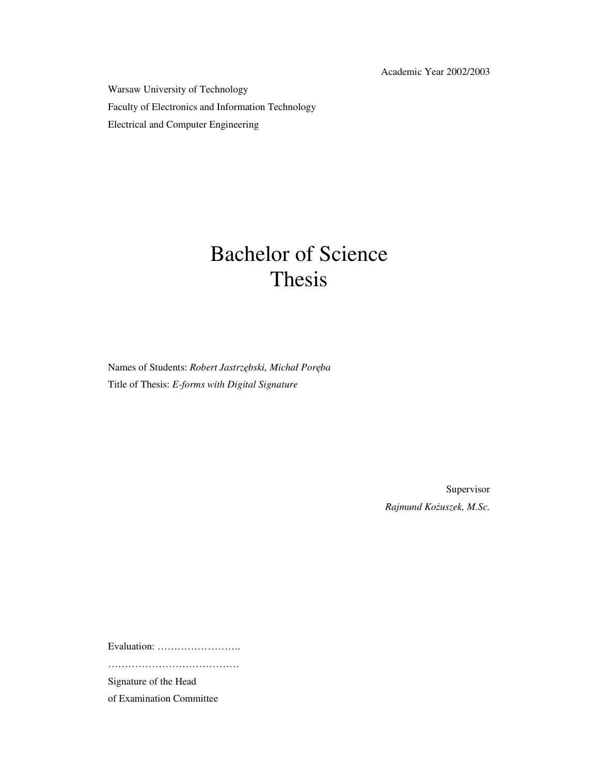Academic Year 2002/2003

Warsaw University of Technology Faculty of Electronics and Information Technology Electrical and Computer Engineering

# Bachelor of Science Thesis

Names of Students: *Robert Jastrzębski, Michał Poręba* Title of Thesis: *E-forms with Digital Signature*

> Supervisor *Rajmund KoŜuszek, M.Sc.*

Evaluation: …………………….

…………………………………

Signature of the Head

of Examination Committee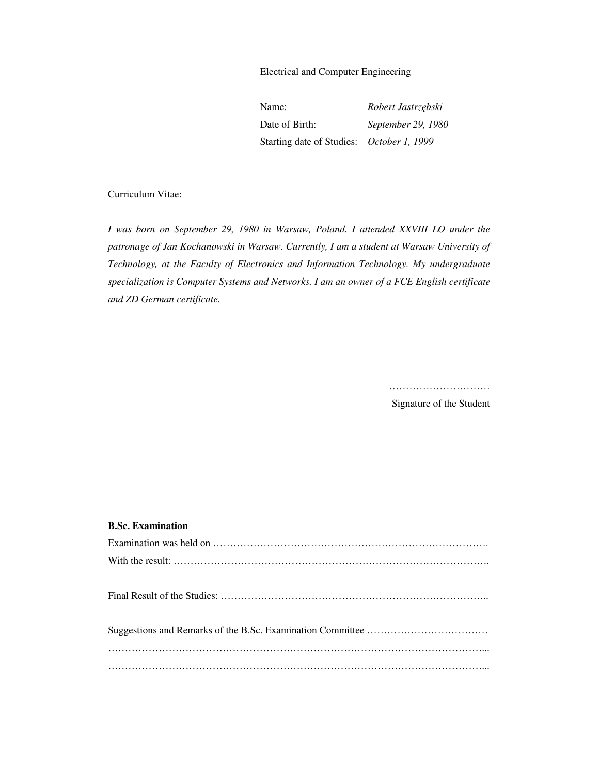Electrical and Computer Engineering

| Name:                                     | Robert Jastrzębski |  |
|-------------------------------------------|--------------------|--|
| Date of Birth:                            | September 29, 1980 |  |
| Starting date of Studies: October 1, 1999 |                    |  |

#### Curriculum Vitae:

*I was born on September 29, 1980 in Warsaw, Poland. I attended XXVIII LO under the patronage of Jan Kochanowski in Warsaw. Currently, I am a student at Warsaw University of Technology, at the Faculty of Electronics and Information Technology. My undergraduate specialization is Computer Systems and Networks. I am an owner of a FCE English certificate and ZD German certificate.* 

…………………………

Signature of the Student

#### **B.Sc. Examination**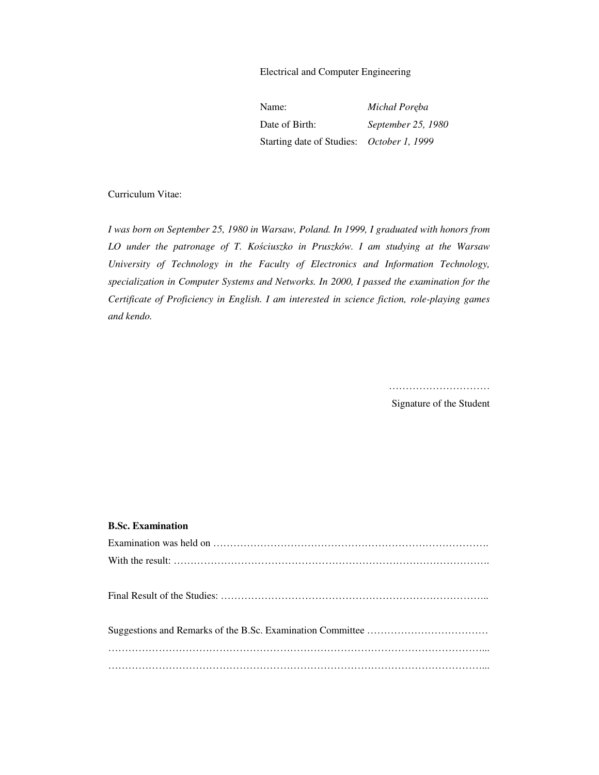Electrical and Computer Engineering

| Name:                                            | Michał Poręba      |
|--------------------------------------------------|--------------------|
| Date of Birth:                                   | September 25, 1980 |
| Starting date of Studies: <i>October 1, 1999</i> |                    |

#### Curriculum Vitae:

*I was born on September 25, 1980 in Warsaw, Poland. In 1999, I graduated with honors from LO under the patronage of T. Kościuszko in Pruszków. I am studying at the Warsaw University of Technology in the Faculty of Electronics and Information Technology, specialization in Computer Systems and Networks. In 2000, I passed the examination for the Certificate of Proficiency in English. I am interested in science fiction, role-playing games and kendo.* 

…………………………

Signature of the Student

#### **B.Sc. Examination**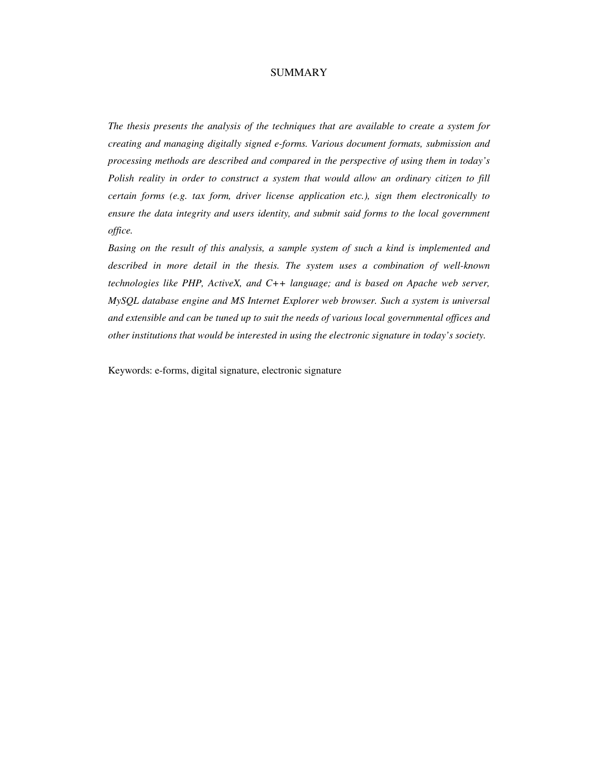#### SUMMARY

*The thesis presents the analysis of the techniques that are available to create a system for creating and managing digitally signed e-forms. Various document formats, submission and processing methods are described and compared in the perspective of using them in today's Polish reality in order to construct a system that would allow an ordinary citizen to fill certain forms (e.g. tax form, driver license application etc.), sign them electronically to ensure the data integrity and users identity, and submit said forms to the local government office.* 

*Basing on the result of this analysis, a sample system of such a kind is implemented and described in more detail in the thesis. The system uses a combination of well-known technologies like PHP, ActiveX, and C++ language; and is based on Apache web server, MySQL database engine and MS Internet Explorer web browser. Such a system is universal and extensible and can be tuned up to suit the needs of various local governmental offices and other institutions that would be interested in using the electronic signature in today's society.* 

Keywords: e-forms, digital signature, electronic signature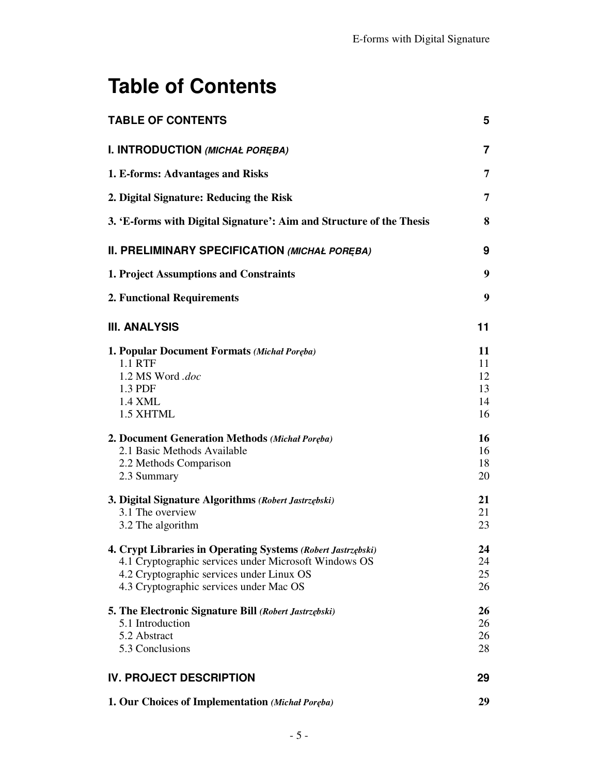# **Table of Contents**

| <b>TABLE OF CONTENTS</b>                                                                                                                                                                                      | 5                                |
|---------------------------------------------------------------------------------------------------------------------------------------------------------------------------------------------------------------|----------------------------------|
| I. INTRODUCTION (MICHAŁ PORĘBA)                                                                                                                                                                               | $\overline{7}$                   |
| 1. E-forms: Advantages and Risks                                                                                                                                                                              | 7                                |
| 2. Digital Signature: Reducing the Risk                                                                                                                                                                       | 7                                |
| 3. 'E-forms with Digital Signature': Aim and Structure of the Thesis                                                                                                                                          | 8                                |
| II. PRELIMINARY SPECIFICATION (MICHAŁ PORĘBA)                                                                                                                                                                 | 9                                |
| 1. Project Assumptions and Constraints                                                                                                                                                                        | 9                                |
| 2. Functional Requirements                                                                                                                                                                                    | 9                                |
| <b>III. ANALYSIS</b>                                                                                                                                                                                          | 11                               |
| 1. Popular Document Formats (Michał Poręba)<br>1.1 RTF<br>1.2 MS Word .doc<br>1.3 PDF<br>1.4 XML<br>1.5 XHTML                                                                                                 | 11<br>11<br>12<br>13<br>14<br>16 |
| 2. Document Generation Methods (Michał Poręba)<br>2.1 Basic Methods Available<br>2.2 Methods Comparison<br>2.3 Summary                                                                                        | 16<br>16<br>18<br>20             |
| 3. Digital Signature Algorithms (Robert Jastrzębski)<br>3.1 The overview<br>3.2 The algorithm                                                                                                                 | 21<br>21<br>23                   |
| 4. Crypt Libraries in Operating Systems (Robert Jastrzębski)<br>4.1 Cryptographic services under Microsoft Windows OS<br>4.2 Cryptographic services under Linux OS<br>4.3 Cryptographic services under Mac OS | 24<br>24<br>25<br>26             |
| 5. The Electronic Signature Bill (Robert Jastrzębski)<br>5.1 Introduction<br>5.2 Abstract<br>5.3 Conclusions                                                                                                  | 26<br>26<br>26<br>28             |
| <b>IV. PROJECT DESCRIPTION</b>                                                                                                                                                                                | 29                               |
| 1. Our Choices of Implementation (Michał Poręba)                                                                                                                                                              | 29                               |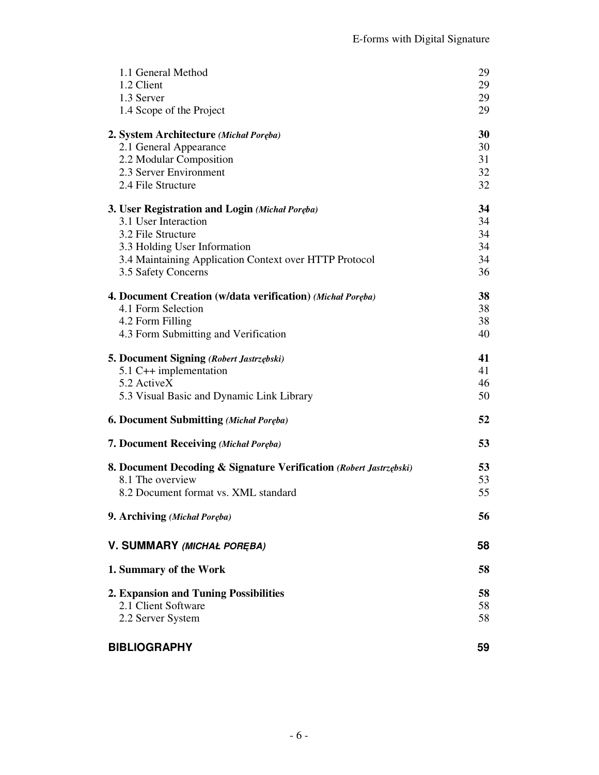| 1.1 General Method                                                 | 29 |
|--------------------------------------------------------------------|----|
| 1.2 Client                                                         | 29 |
| 1.3 Server                                                         | 29 |
| 1.4 Scope of the Project                                           | 29 |
| 2. System Architecture (Michał Poręba)                             | 30 |
| 2.1 General Appearance                                             | 30 |
| 2.2 Modular Composition                                            | 31 |
| 2.3 Server Environment                                             | 32 |
| 2.4 File Structure                                                 | 32 |
| 3. User Registration and Login (Michał Poręba)                     | 34 |
| 3.1 User Interaction                                               | 34 |
| 3.2 File Structure                                                 | 34 |
| 3.3 Holding User Information                                       | 34 |
| 3.4 Maintaining Application Context over HTTP Protocol             | 34 |
| 3.5 Safety Concerns                                                | 36 |
| 4. Document Creation (w/data verification) (Michał Poręba)         | 38 |
| 4.1 Form Selection                                                 | 38 |
| 4.2 Form Filling                                                   | 38 |
| 4.3 Form Submitting and Verification                               | 40 |
| 5. Document Signing (Robert Jastrzębski)                           | 41 |
| 5.1 C++ implementation                                             | 41 |
| 5.2 ActiveX                                                        | 46 |
| 5.3 Visual Basic and Dynamic Link Library                          | 50 |
| <b>6. Document Submitting (Michal Poreba)</b>                      | 52 |
| 7. Document Receiving (Michal Poreba)                              | 53 |
| 8. Document Decoding & Signature Verification (Robert Jastrzębski) | 53 |
| 8.1 The overview                                                   | 53 |
| 8.2 Document format vs. XML standard                               | 55 |
| 9. Archiving (Michał Poręba)                                       | 56 |
| V. SUMMARY (MICHAŁ POREBA)                                         | 58 |
| 1. Summary of the Work                                             | 58 |
| 2. Expansion and Tuning Possibilities                              | 58 |
| 2.1 Client Software                                                | 58 |
| 2.2 Server System                                                  | 58 |
| <b>BIBLIOGRAPHY</b>                                                | 59 |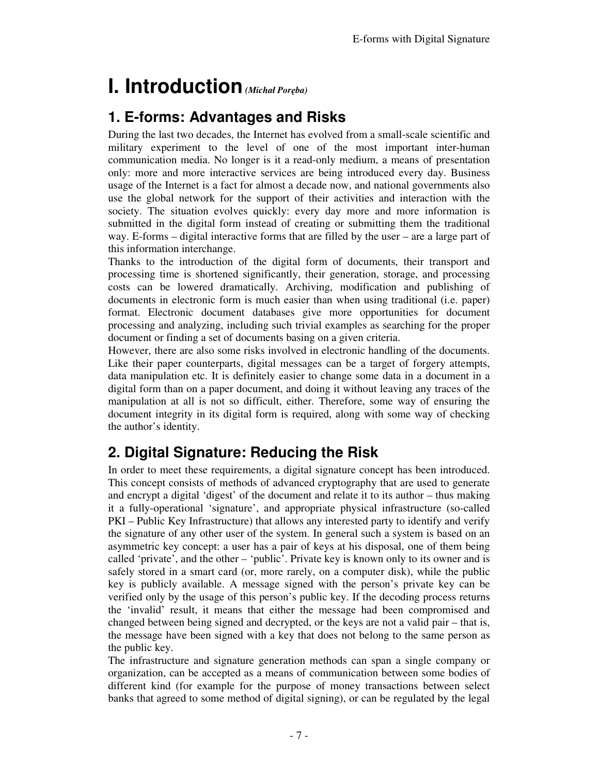# **I. Introduction** *(Michał Poręba)*

# **1. E-forms: Advantages and Risks**

During the last two decades, the Internet has evolved from a small-scale scientific and military experiment to the level of one of the most important inter-human communication media. No longer is it a read-only medium, a means of presentation only: more and more interactive services are being introduced every day. Business usage of the Internet is a fact for almost a decade now, and national governments also use the global network for the support of their activities and interaction with the society. The situation evolves quickly: every day more and more information is submitted in the digital form instead of creating or submitting them the traditional way. E-forms – digital interactive forms that are filled by the user – are a large part of this information interchange.

Thanks to the introduction of the digital form of documents, their transport and processing time is shortened significantly, their generation, storage, and processing costs can be lowered dramatically. Archiving, modification and publishing of documents in electronic form is much easier than when using traditional (i.e. paper) format. Electronic document databases give more opportunities for document processing and analyzing, including such trivial examples as searching for the proper document or finding a set of documents basing on a given criteria.

However, there are also some risks involved in electronic handling of the documents. Like their paper counterparts, digital messages can be a target of forgery attempts, data manipulation etc. It is definitely easier to change some data in a document in a digital form than on a paper document, and doing it without leaving any traces of the manipulation at all is not so difficult, either. Therefore, some way of ensuring the document integrity in its digital form is required, along with some way of checking the author's identity.

# **2. Digital Signature: Reducing the Risk**

In order to meet these requirements, a digital signature concept has been introduced. This concept consists of methods of advanced cryptography that are used to generate and encrypt a digital 'digest' of the document and relate it to its author – thus making it a fully-operational 'signature', and appropriate physical infrastructure (so-called PKI – Public Key Infrastructure) that allows any interested party to identify and verify the signature of any other user of the system. In general such a system is based on an asymmetric key concept: a user has a pair of keys at his disposal, one of them being called 'private', and the other – 'public'. Private key is known only to its owner and is safely stored in a smart card (or, more rarely, on a computer disk), while the public key is publicly available. A message signed with the person's private key can be verified only by the usage of this person's public key. If the decoding process returns the 'invalid' result, it means that either the message had been compromised and changed between being signed and decrypted, or the keys are not a valid pair – that is, the message have been signed with a key that does not belong to the same person as the public key.

The infrastructure and signature generation methods can span a single company or organization, can be accepted as a means of communication between some bodies of different kind (for example for the purpose of money transactions between select banks that agreed to some method of digital signing), or can be regulated by the legal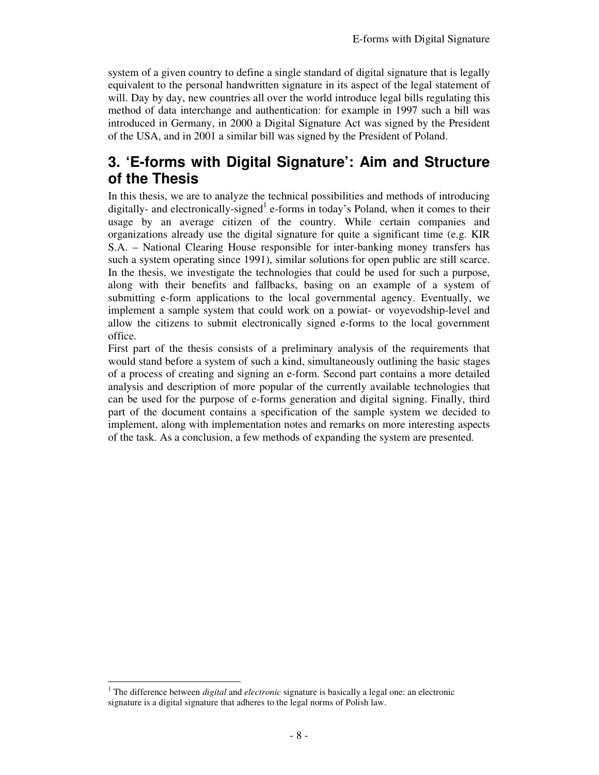system of a given country to define a single standard of digital signature that is legally equivalent to the personal handwritten signature in its aspect of the legal statement of will. Day by day, new countries all over the world introduce legal bills regulating this method of data interchange and authentication: for example in 1997 such a bill was introduced in Germany, in 2000 a Digital Signature Act was signed by the President of the USA, and in 2001 a similar bill was signed by the President of Poland.

# **3. 'E-forms with Digital Signature': Aim and Structure of the Thesis**

In this thesis, we are to analyze the technical possibilities and methods of introducing digitally- and electronically-signed<sup>1</sup> e-forms in today's Poland, when it comes to their usage by an average citizen of the country. While certain companies and organizations already use the digital signature for quite a significant time (e.g. KIR S.A. – National Clearing House responsible for inter-banking money transfers has such a system operating since 1991), similar solutions for open public are still scarce. In the thesis, we investigate the technologies that could be used for such a purpose, along with their benefits and fallbacks, basing on an example of a system of submitting e-form applications to the local governmental agency. Eventually, we implement a sample system that could work on a powiat- or voyevodship-level and allow the citizens to submit electronically signed e-forms to the local government office.

First part of the thesis consists of a preliminary analysis of the requirements that would stand before a system of such a kind, simultaneously outlining the basic stages of a process of creating and signing an e-form. Second part contains a more detailed analysis and description of more popular of the currently available technologies that can be used for the purpose of e-forms generation and digital signing. Finally, third part of the document contains a specification of the sample system we decided to implement, along with implementation notes and remarks on more interesting aspects of the task. As a conclusion, a few methods of expanding the system are presented.

<sup>-</sup><sup>1</sup> The difference between *digital* and *electronic* signature is basically a legal one: an electronic signature is a digital signature that adheres to the legal norms of Polish law.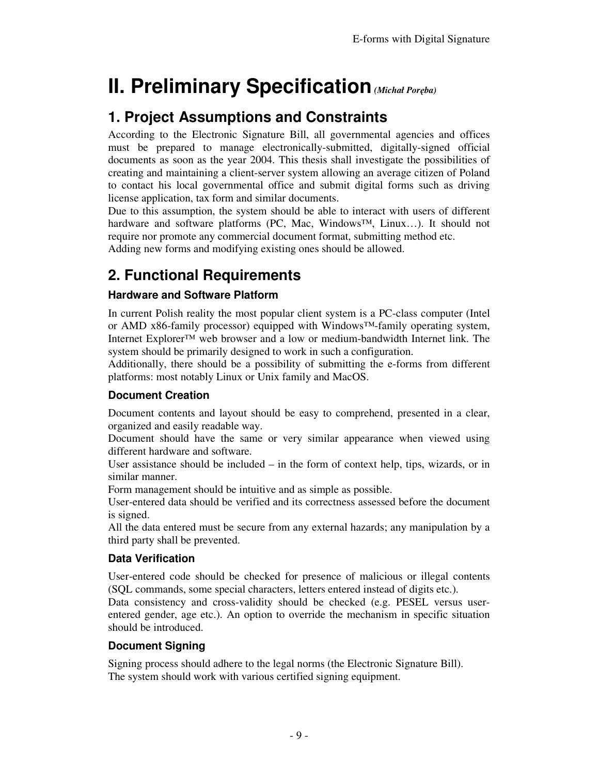# **II. Preliminary Specification** *(Michał Poręba)*

# **1. Project Assumptions and Constraints**

According to the Electronic Signature Bill, all governmental agencies and offices must be prepared to manage electronically-submitted, digitally-signed official documents as soon as the year 2004. This thesis shall investigate the possibilities of creating and maintaining a client-server system allowing an average citizen of Poland to contact his local governmental office and submit digital forms such as driving license application, tax form and similar documents.

Due to this assumption, the system should be able to interact with users of different hardware and software platforms (PC, Mac, Windows™, Linux…). It should not require nor promote any commercial document format, submitting method etc. Adding new forms and modifying existing ones should be allowed.

# **2. Functional Requirements**

### **Hardware and Software Platform**

In current Polish reality the most popular client system is a PC-class computer (Intel or AMD x86-family processor) equipped with Windows™-family operating system, Internet Explorer™ web browser and a low or medium-bandwidth Internet link. The system should be primarily designed to work in such a configuration.

Additionally, there should be a possibility of submitting the e-forms from different platforms: most notably Linux or Unix family and MacOS.

### **Document Creation**

Document contents and layout should be easy to comprehend, presented in a clear, organized and easily readable way.

Document should have the same or very similar appearance when viewed using different hardware and software.

User assistance should be included  $-$  in the form of context help, tips, wizards, or in similar manner.

Form management should be intuitive and as simple as possible.

User-entered data should be verified and its correctness assessed before the document is signed.

All the data entered must be secure from any external hazards; any manipulation by a third party shall be prevented.

### **Data Verification**

User-entered code should be checked for presence of malicious or illegal contents (SQL commands, some special characters, letters entered instead of digits etc.).

Data consistency and cross-validity should be checked (e.g. PESEL versus userentered gender, age etc.). An option to override the mechanism in specific situation should be introduced.

### **Document Signing**

Signing process should adhere to the legal norms (the Electronic Signature Bill). The system should work with various certified signing equipment.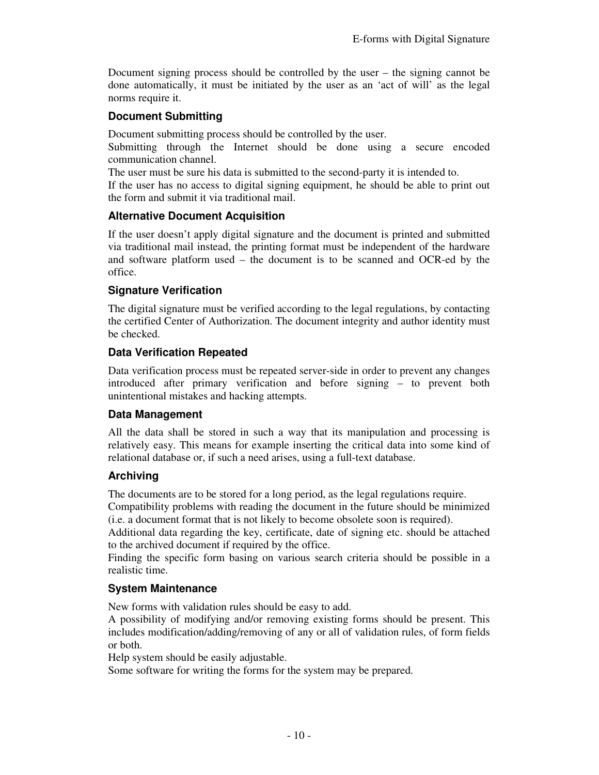Document signing process should be controlled by the user – the signing cannot be done automatically, it must be initiated by the user as an 'act of will' as the legal norms require it.

#### **Document Submitting**

Document submitting process should be controlled by the user.

Submitting through the Internet should be done using a secure encoded communication channel.

The user must be sure his data is submitted to the second-party it is intended to.

If the user has no access to digital signing equipment, he should be able to print out the form and submit it via traditional mail.

#### **Alternative Document Acquisition**

If the user doesn't apply digital signature and the document is printed and submitted via traditional mail instead, the printing format must be independent of the hardware and software platform used – the document is to be scanned and OCR-ed by the office.

#### **Signature Verification**

The digital signature must be verified according to the legal regulations, by contacting the certified Center of Authorization. The document integrity and author identity must be checked.

#### **Data Verification Repeated**

Data verification process must be repeated server-side in order to prevent any changes introduced after primary verification and before signing – to prevent both unintentional mistakes and hacking attempts.

#### **Data Management**

All the data shall be stored in such a way that its manipulation and processing is relatively easy. This means for example inserting the critical data into some kind of relational database or, if such a need arises, using a full-text database.

#### **Archiving**

The documents are to be stored for a long period, as the legal regulations require.

Compatibility problems with reading the document in the future should be minimized (i.e. a document format that is not likely to become obsolete soon is required).

Additional data regarding the key, certificate, date of signing etc. should be attached to the archived document if required by the office.

Finding the specific form basing on various search criteria should be possible in a realistic time.

#### **System Maintenance**

New forms with validation rules should be easy to add.

A possibility of modifying and/or removing existing forms should be present. This includes modification/adding/removing of any or all of validation rules, of form fields or both.

Help system should be easily adjustable.

Some software for writing the forms for the system may be prepared.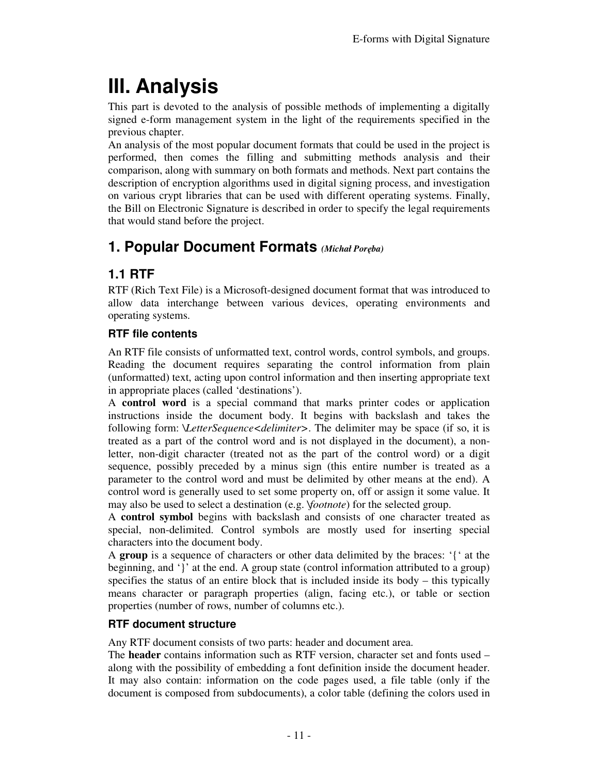# **III. Analysis**

This part is devoted to the analysis of possible methods of implementing a digitally signed e-form management system in the light of the requirements specified in the previous chapter.

An analysis of the most popular document formats that could be used in the project is performed, then comes the filling and submitting methods analysis and their comparison, along with summary on both formats and methods. Next part contains the description of encryption algorithms used in digital signing process, and investigation on various crypt libraries that can be used with different operating systems. Finally, the Bill on Electronic Signature is described in order to specify the legal requirements that would stand before the project.

# **1. Popular Document Formats** *(Michał Poręba)*

# **1.1 RTF**

RTF (Rich Text File) is a Microsoft-designed document format that was introduced to allow data interchange between various devices, operating environments and operating systems.

### **RTF file contents**

An RTF file consists of unformatted text, control words, control symbols, and groups. Reading the document requires separating the control information from plain (unformatted) text, acting upon control information and then inserting appropriate text in appropriate places (called 'destinations').

A **control word** is a special command that marks printer codes or application instructions inside the document body. It begins with backslash and takes the following form: *\LetterSequence<delimiter>*. The delimiter may be space (if so, it is treated as a part of the control word and is not displayed in the document), a nonletter, non-digit character (treated not as the part of the control word) or a digit sequence, possibly preceded by a minus sign (this entire number is treated as a parameter to the control word and must be delimited by other means at the end). A control word is generally used to set some property on, off or assign it some value. It may also be used to select a destination (e.g. *\footnote*) for the selected group.

A **control symbol** begins with backslash and consists of one character treated as special, non-delimited. Control symbols are mostly used for inserting special characters into the document body.

A **group** is a sequence of characters or other data delimited by the braces: '{' at the beginning, and '}' at the end. A group state (control information attributed to a group) specifies the status of an entire block that is included inside its body – this typically means character or paragraph properties (align, facing etc.), or table or section properties (number of rows, number of columns etc.).

### **RTF document structure**

Any RTF document consists of two parts: header and document area.

The **header** contains information such as RTF version, character set and fonts used – along with the possibility of embedding a font definition inside the document header. It may also contain: information on the code pages used, a file table (only if the document is composed from subdocuments), a color table (defining the colors used in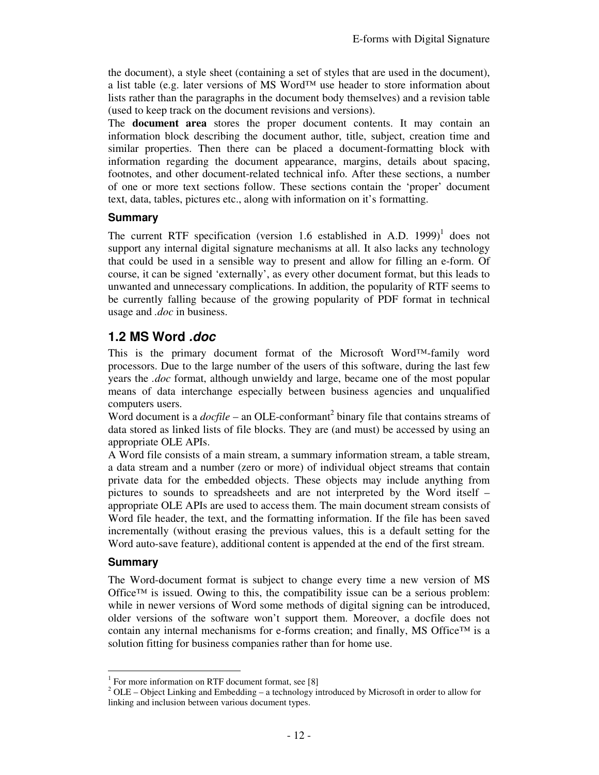the document), a style sheet (containing a set of styles that are used in the document), a list table (e.g. later versions of MS Word<sup>™</sup> use header to store information about lists rather than the paragraphs in the document body themselves) and a revision table (used to keep track on the document revisions and versions).

The **document area** stores the proper document contents. It may contain an information block describing the document author, title, subject, creation time and similar properties. Then there can be placed a document-formatting block with information regarding the document appearance, margins, details about spacing, footnotes, and other document-related technical info. After these sections, a number of one or more text sections follow. These sections contain the 'proper' document text, data, tables, pictures etc., along with information on it's formatting.

#### **Summary**

The current RTF specification (version 1.6 established in A.D.  $1999$ )<sup>1</sup> does not support any internal digital signature mechanisms at all. It also lacks any technology that could be used in a sensible way to present and allow for filling an e-form. Of course, it can be signed 'externally', as every other document format, but this leads to unwanted and unnecessary complications. In addition, the popularity of RTF seems to be currently falling because of the growing popularity of PDF format in technical usage and *.doc* in business.

### **1.2 MS Word .doc**

This is the primary document format of the Microsoft Word™-family word processors. Due to the large number of the users of this software, during the last few years the *.doc* format, although unwieldy and large, became one of the most popular means of data interchange especially between business agencies and unqualified computers users.

Word document is a  $docfile$  – an OLE-conformant<sup>2</sup> binary file that contains streams of data stored as linked lists of file blocks. They are (and must) be accessed by using an appropriate OLE APIs.

A Word file consists of a main stream, a summary information stream, a table stream, a data stream and a number (zero or more) of individual object streams that contain private data for the embedded objects. These objects may include anything from pictures to sounds to spreadsheets and are not interpreted by the Word itself – appropriate OLE APIs are used to access them. The main document stream consists of Word file header, the text, and the formatting information. If the file has been saved incrementally (without erasing the previous values, this is a default setting for the Word auto-save feature), additional content is appended at the end of the first stream.

#### **Summary**

-

The Word-document format is subject to change every time a new version of MS Office<sup>™</sup> is issued. Owing to this, the compatibility issue can be a serious problem: while in newer versions of Word some methods of digital signing can be introduced, older versions of the software won't support them. Moreover, a docfile does not contain any internal mechanisms for e-forms creation; and finally, MS Office<sup>TM</sup> is a solution fitting for business companies rather than for home use.

<sup>&</sup>lt;sup>1</sup> For more information on RTF document format, see [8]

 $2^{2}$  OLE – Object Linking and Embedding – a technology introduced by Microsoft in order to allow for linking and inclusion between various document types.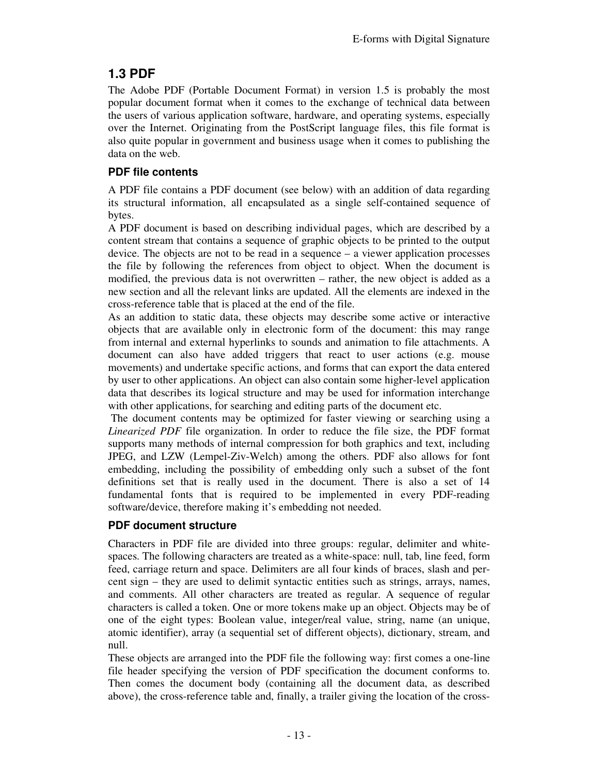# **1.3 PDF**

The Adobe PDF (Portable Document Format) in version 1.5 is probably the most popular document format when it comes to the exchange of technical data between the users of various application software, hardware, and operating systems, especially over the Internet. Originating from the PostScript language files, this file format is also quite popular in government and business usage when it comes to publishing the data on the web.

### **PDF file contents**

A PDF file contains a PDF document (see below) with an addition of data regarding its structural information, all encapsulated as a single self-contained sequence of bytes.

A PDF document is based on describing individual pages, which are described by a content stream that contains a sequence of graphic objects to be printed to the output device. The objects are not to be read in a sequence – a viewer application processes the file by following the references from object to object. When the document is modified, the previous data is not overwritten – rather, the new object is added as a new section and all the relevant links are updated. All the elements are indexed in the cross-reference table that is placed at the end of the file.

As an addition to static data, these objects may describe some active or interactive objects that are available only in electronic form of the document: this may range from internal and external hyperlinks to sounds and animation to file attachments. A document can also have added triggers that react to user actions (e.g. mouse movements) and undertake specific actions, and forms that can export the data entered by user to other applications. An object can also contain some higher-level application data that describes its logical structure and may be used for information interchange with other applications, for searching and editing parts of the document etc.

 The document contents may be optimized for faster viewing or searching using a *Linearized PDF* file organization. In order to reduce the file size, the PDF format supports many methods of internal compression for both graphics and text, including JPEG, and LZW (Lempel-Ziv-Welch) among the others. PDF also allows for font embedding, including the possibility of embedding only such a subset of the font definitions set that is really used in the document. There is also a set of 14 fundamental fonts that is required to be implemented in every PDF-reading software/device, therefore making it's embedding not needed.

### **PDF document structure**

Characters in PDF file are divided into three groups: regular, delimiter and whitespaces. The following characters are treated as a white-space: null, tab, line feed, form feed, carriage return and space. Delimiters are all four kinds of braces, slash and percent sign – they are used to delimit syntactic entities such as strings, arrays, names, and comments. All other characters are treated as regular. A sequence of regular characters is called a token. One or more tokens make up an object. Objects may be of one of the eight types: Boolean value, integer/real value, string, name (an unique, atomic identifier), array (a sequential set of different objects), dictionary, stream, and null.

These objects are arranged into the PDF file the following way: first comes a one-line file header specifying the version of PDF specification the document conforms to. Then comes the document body (containing all the document data, as described above), the cross-reference table and, finally, a trailer giving the location of the cross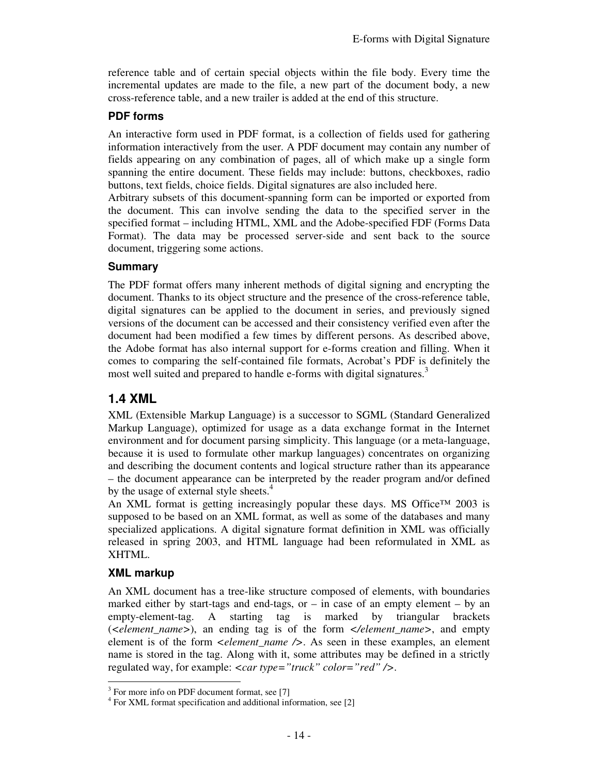reference table and of certain special objects within the file body. Every time the incremental updates are made to the file, a new part of the document body, a new cross-reference table, and a new trailer is added at the end of this structure.

#### **PDF forms**

An interactive form used in PDF format, is a collection of fields used for gathering information interactively from the user. A PDF document may contain any number of fields appearing on any combination of pages, all of which make up a single form spanning the entire document. These fields may include: buttons, checkboxes, radio buttons, text fields, choice fields. Digital signatures are also included here.

Arbitrary subsets of this document-spanning form can be imported or exported from the document. This can involve sending the data to the specified server in the specified format – including HTML, XML and the Adobe-specified FDF (Forms Data Format). The data may be processed server-side and sent back to the source document, triggering some actions.

#### **Summary**

The PDF format offers many inherent methods of digital signing and encrypting the document. Thanks to its object structure and the presence of the cross-reference table, digital signatures can be applied to the document in series, and previously signed versions of the document can be accessed and their consistency verified even after the document had been modified a few times by different persons. As described above, the Adobe format has also internal support for e-forms creation and filling. When it comes to comparing the self-contained file formats, Acrobat's PDF is definitely the most well suited and prepared to handle e-forms with digital signatures.<sup>3</sup>

### **1.4 XML**

XML (Extensible Markup Language) is a successor to SGML (Standard Generalized Markup Language), optimized for usage as a data exchange format in the Internet environment and for document parsing simplicity. This language (or a meta-language, because it is used to formulate other markup languages) concentrates on organizing and describing the document contents and logical structure rather than its appearance – the document appearance can be interpreted by the reader program and/or defined by the usage of external style sheets.<sup>4</sup>

An XML format is getting increasingly popular these days. MS Office™ 2003 is supposed to be based on an XML format, as well as some of the databases and many specialized applications. A digital signature format definition in XML was officially released in spring 2003, and HTML language had been reformulated in XML as XHTML.

### **XML markup**

An XML document has a tree-like structure composed of elements, with boundaries marked either by start-tags and end-tags, or  $-$  in case of an empty element  $-$  by an empty-element-tag. A starting tag is marked by triangular brackets (*<element\_name>*), an ending tag is of the form *</element\_name>*, and empty element is of the form *<element\_name />*. As seen in these examples, an element name is stored in the tag. Along with it, some attributes may be defined in a strictly regulated way, for example: *<car type="truck" color="red" />*.

<sup>&</sup>lt;sup>3</sup> For more info on PDF document format, see [7]

<sup>4</sup> For XML format specification and additional information, see [2]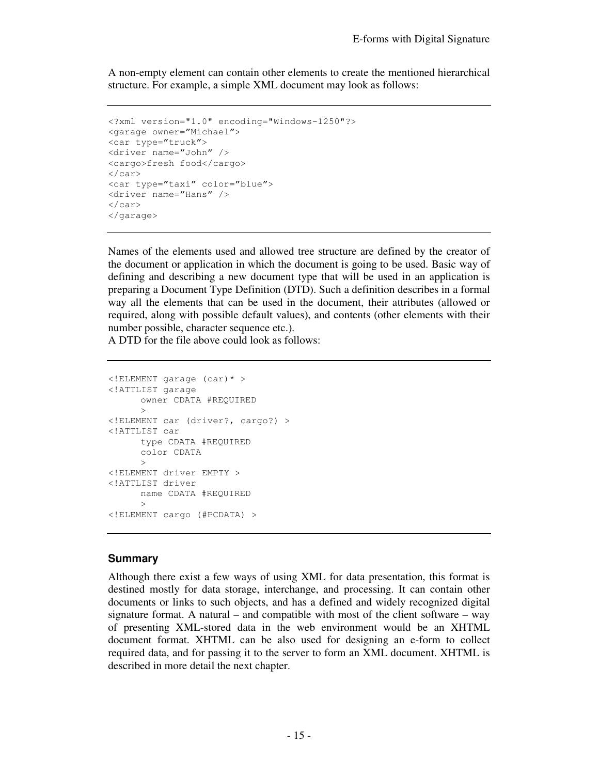A non-empty element can contain other elements to create the mentioned hierarchical structure. For example, a simple XML document may look as follows:

```
<?xml version="1.0" encoding="Windows-1250"?> 
<garage owner="Michael"> 
<car type="truck"> 
<driver name="John" /> 
<cargo>fresh food</cargo> 
</car> 
<car type="taxi" color="blue"> 
<driver name="Hans" /> 
\langle car>
</garage>
```
Names of the elements used and allowed tree structure are defined by the creator of the document or application in which the document is going to be used. Basic way of defining and describing a new document type that will be used in an application is preparing a Document Type Definition (DTD). Such a definition describes in a formal way all the elements that can be used in the document, their attributes (allowed or required, along with possible default values), and contents (other elements with their number possible, character sequence etc.).

A DTD for the file above could look as follows:

```
<!ELEMENT garage (car)* > 
<!ATTLIST garage 
      owner CDATA #REQUIRED 
      > 
<!ELEMENT car (driver?, cargo?) > 
<!ATTLIST car 
       type CDATA #REQUIRED 
       color CDATA 
      > 
<!ELEMENT driver EMPTY > 
<!ATTLIST driver 
       name CDATA #REQUIRED 
      > 
<!ELEMENT cargo (#PCDATA) >
```
#### **Summary**

Although there exist a few ways of using XML for data presentation, this format is destined mostly for data storage, interchange, and processing. It can contain other documents or links to such objects, and has a defined and widely recognized digital signature format. A natural – and compatible with most of the client software – way of presenting XML-stored data in the web environment would be an XHTML document format. XHTML can be also used for designing an e-form to collect required data, and for passing it to the server to form an XML document. XHTML is described in more detail the next chapter.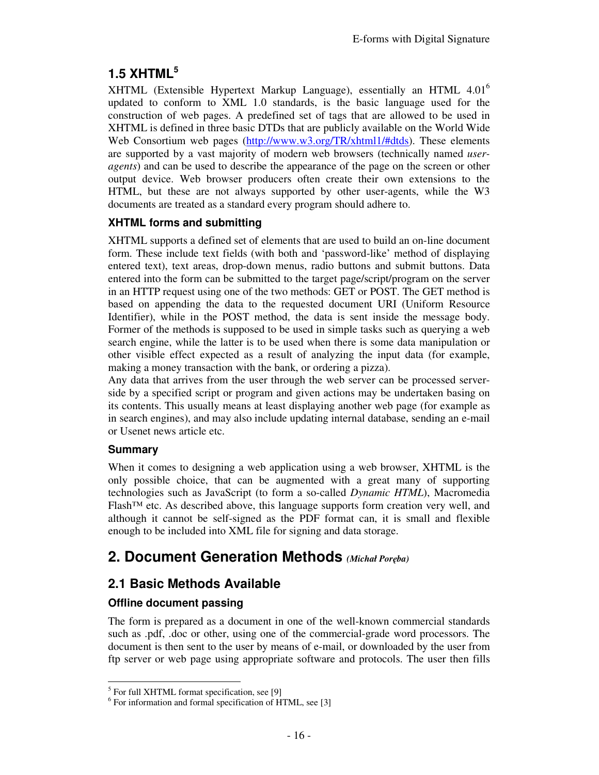# **1.5 XHTML<sup>5</sup>**

XHTML (Extensible Hypertext Markup Language), essentially an HTML 4.01<sup>6</sup> updated to conform to XML 1.0 standards, is the basic language used for the construction of web pages. A predefined set of tags that are allowed to be used in XHTML is defined in three basic DTDs that are publicly available on the World Wide Web Consortium web pages (http://www.w3.org/TR/xhtml1/#dtds). These elements are supported by a vast majority of modern web browsers (technically named *useragents*) and can be used to describe the appearance of the page on the screen or other output device. Web browser producers often create their own extensions to the HTML, but these are not always supported by other user-agents, while the W3 documents are treated as a standard every program should adhere to.

### **XHTML forms and submitting**

XHTML supports a defined set of elements that are used to build an on-line document form. These include text fields (with both and 'password-like' method of displaying entered text), text areas, drop-down menus, radio buttons and submit buttons. Data entered into the form can be submitted to the target page/script/program on the server in an HTTP request using one of the two methods: GET or POST. The GET method is based on appending the data to the requested document URI (Uniform Resource Identifier), while in the POST method, the data is sent inside the message body. Former of the methods is supposed to be used in simple tasks such as querying a web search engine, while the latter is to be used when there is some data manipulation or other visible effect expected as a result of analyzing the input data (for example, making a money transaction with the bank, or ordering a pizza).

Any data that arrives from the user through the web server can be processed serverside by a specified script or program and given actions may be undertaken basing on its contents. This usually means at least displaying another web page (for example as in search engines), and may also include updating internal database, sending an e-mail or Usenet news article etc.

### **Summary**

When it comes to designing a web application using a web browser, XHTML is the only possible choice, that can be augmented with a great many of supporting technologies such as JavaScript (to form a so-called *Dynamic HTML*), Macromedia  $F$ lash<sup>™</sup> etc. As described above, this language supports form creation very well, and although it cannot be self-signed as the PDF format can, it is small and flexible enough to be included into XML file for signing and data storage.

# **2. Document Generation Methods** *(Michał Poręba)*

## **2.1 Basic Methods Available**

### **Offline document passing**

The form is prepared as a document in one of the well-known commercial standards such as .pdf, .doc or other, using one of the commercial-grade word processors. The document is then sent to the user by means of e-mail, or downloaded by the user from ftp server or web page using appropriate software and protocols. The user then fills

 5 For full XHTML format specification, see [9]

<sup>6</sup> For information and formal specification of HTML, see [3]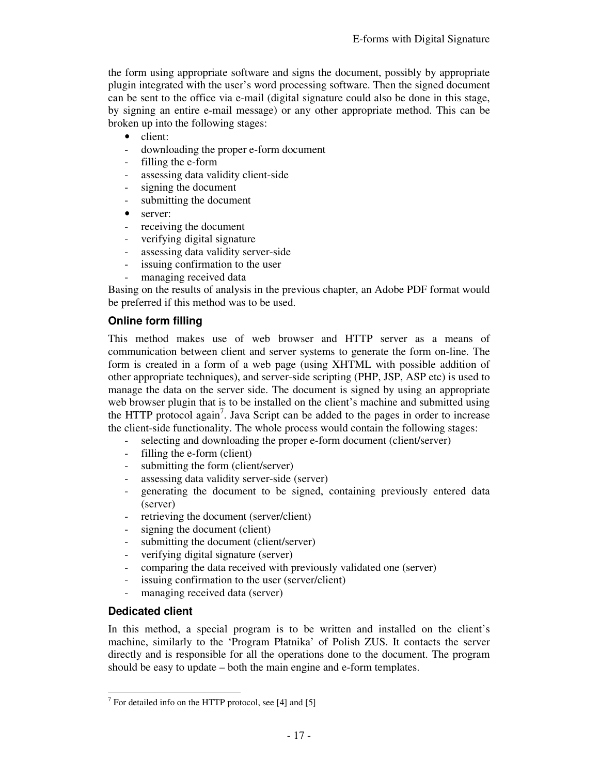the form using appropriate software and signs the document, possibly by appropriate plugin integrated with the user's word processing software. Then the signed document can be sent to the office via e-mail (digital signature could also be done in this stage, by signing an entire e-mail message) or any other appropriate method. This can be broken up into the following stages:

- client:
- downloading the proper e-form document
- filling the e-form
- assessing data validity client-side
- signing the document
- submitting the document
- server:
- receiving the document
- verifying digital signature
- assessing data validity server-side
- issuing confirmation to the user
- managing received data

Basing on the results of analysis in the previous chapter, an Adobe PDF format would be preferred if this method was to be used.

### **Online form filling**

This method makes use of web browser and HTTP server as a means of communication between client and server systems to generate the form on-line. The form is created in a form of a web page (using XHTML with possible addition of other appropriate techniques), and server-side scripting (PHP, JSP, ASP etc) is used to manage the data on the server side. The document is signed by using an appropriate web browser plugin that is to be installed on the client's machine and submitted using the HTTP protocol again<sup>7</sup>. Java Script can be added to the pages in order to increase the client-side functionality. The whole process would contain the following stages:

- selecting and downloading the proper e-form document (client/server)
- filling the e-form (client)
- submitting the form (client/server)
- assessing data validity server-side (server)
- generating the document to be signed, containing previously entered data (server)
- retrieving the document (server/client)
- signing the document (client)
- submitting the document (client/server)
- verifying digital signature (server)
- comparing the data received with previously validated one (server)
- issuing confirmation to the user (server/client)
- managing received data (server)

### **Dedicated client**

-

In this method, a special program is to be written and installed on the client's machine, similarly to the 'Program Płatnika' of Polish ZUS. It contacts the server directly and is responsible for all the operations done to the document. The program should be easy to update – both the main engine and e-form templates.

 $7$  For detailed info on the HTTP protocol, see [4] and [5]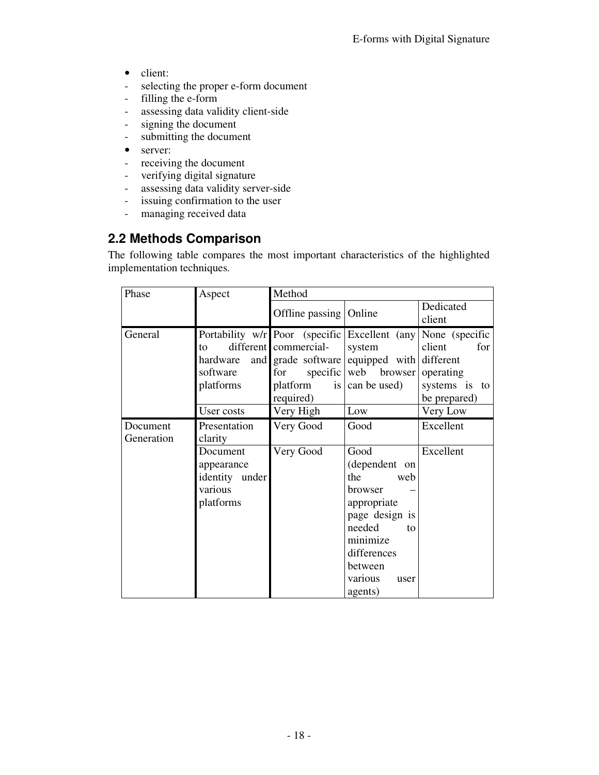- client:
- selecting the proper e-form document<br>- filling the e-form
- filling the e-form
- assessing data validity client-side
- signing the document
- submitting the document
- server:
- receiving the document
- verifying digital signature
- assessing data validity server-side
- issuing confirmation to the user
- managing received data

# **2.2 Methods Comparison**

The following table compares the most important characteristics of the highlighted implementation techniques.

| Phase      | Aspect         | Method                                         |                         |                 |
|------------|----------------|------------------------------------------------|-------------------------|-----------------|
|            |                | Offline passing   Online                       |                         | Dedicated       |
|            |                |                                                |                         | client          |
| General    |                | Portability w/r Poor (specific Excellent (any) |                         | None (specific) |
|            | to             | different commercial-                          | system                  | client<br>for   |
|            |                | hardware and grade software equipped with      |                         | different       |
|            | software       | for                                            | specific web browser    | operating       |
|            | platforms      | platform                                       | is $\vert$ can be used) | systems is to   |
|            |                | required)                                      |                         | be prepared)    |
|            | User costs     | Very High                                      | Low                     | Very Low        |
| Document   | Presentation   | Very Good                                      | Good                    | Excellent       |
| Generation | clarity        |                                                |                         |                 |
|            | Document       | Very Good                                      | Good                    | Excellent       |
|            | appearance     |                                                | (dependent on           |                 |
|            | identity under |                                                | the<br>web              |                 |
|            | various        |                                                | <b>browser</b>          |                 |
|            | platforms      |                                                | appropriate             |                 |
|            |                |                                                | page design is          |                 |
|            |                |                                                | needed<br>to            |                 |
|            |                |                                                | minimize                |                 |
|            |                |                                                | differences             |                 |
|            |                |                                                | between                 |                 |
|            |                |                                                | various<br>user         |                 |
|            |                |                                                | agents)                 |                 |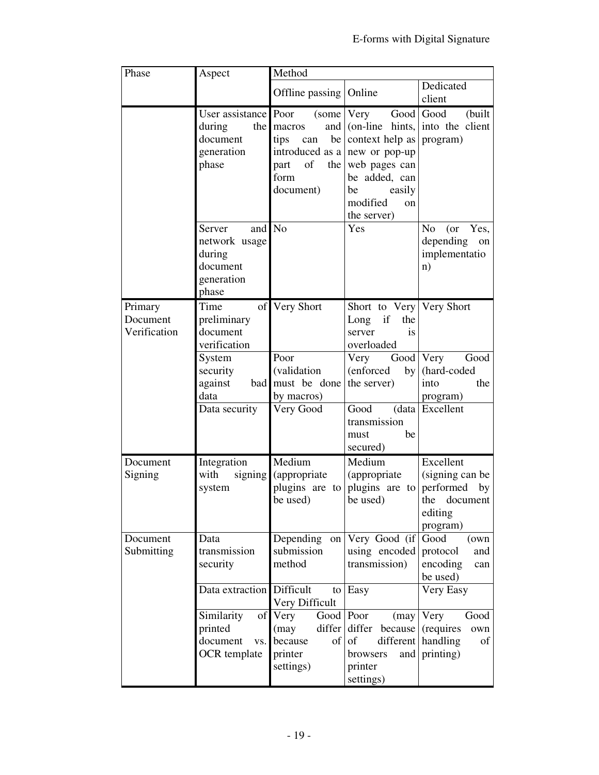| Phase                               | Aspect                                                                                      | Method                                                                                             |                                                                                                                                   |                                                                                                    |
|-------------------------------------|---------------------------------------------------------------------------------------------|----------------------------------------------------------------------------------------------------|-----------------------------------------------------------------------------------------------------------------------------------|----------------------------------------------------------------------------------------------------|
|                                     |                                                                                             | Offline passing Online                                                                             |                                                                                                                                   | Dedicated<br>client                                                                                |
|                                     | User assistance Poor<br>during<br>document<br>generation<br>phase                           | and<br>the macros<br>be<br>tips can<br>introduced as a<br>of<br>the  <br>part<br>form<br>document) | (some Very<br>context help as<br>new or pop-up<br>web pages can<br>be added, can<br>easily<br>be<br>modified<br>on<br>the server) | Good Good<br>(built)<br>(on-line hints, into the client<br>program)                                |
|                                     | <b>Server</b><br>and<br>network usage<br>during<br>document<br>generation<br>phase          | N <sub>o</sub>                                                                                     | Yes                                                                                                                               | N <sub>0</sub><br>(or Yes,<br>depending<br>on<br>implementatio<br>n)                               |
| Primary<br>Document<br>Verification | Time<br>preliminary<br>document<br>verification                                             | of Very Short                                                                                      | Short to Very Very Short<br>Long if<br>the<br>is<br>server<br>overloaded                                                          |                                                                                                    |
|                                     | System<br>security<br>against<br>data<br>Data security                                      | Poor<br>(validation<br>bad must be done<br>by macros)<br>Very Good                                 | Very<br>(enforced)<br>by<br>the server)<br>Good                                                                                   | Good Very<br>Good<br>(hard-coded<br>into<br>the<br>program)<br>(data   Excellent                   |
|                                     |                                                                                             |                                                                                                    | transmission<br>be<br>must<br>secured)                                                                                            |                                                                                                    |
| Document<br>Signing                 | Integration<br>with<br>system                                                               | Medium<br>signing (appropriate<br>plugins are to<br>be used)                                       | Medium<br>(appropriate<br>be used)                                                                                                | Excellent<br>(signing can be<br>plugins are to performed by<br>the document<br>editing<br>program) |
| Document<br>Submitting              | Data<br>transmission<br>security                                                            | Depending<br>submission<br>method                                                                  | on Very Good (if<br>using encoded<br>transmission)                                                                                | Good<br>(own<br>protocol<br>and<br>encoding<br>can<br>be used)                                     |
|                                     | Data extraction Difficult<br>of<br>Similarity<br>printed<br>document<br>VS.<br>OCR template | Very Difficult<br>Good Poor<br>Very<br>differ<br>(may)<br>because<br>of<br>printer<br>settings)    | to $\vert$ Easy<br>(may)<br>differ<br>because<br>of<br>different<br>browsers<br>and<br>printer<br>settings)                       | Very Easy<br>Very<br>Good<br>(requires<br>own<br>handling<br>οf<br>printing)                       |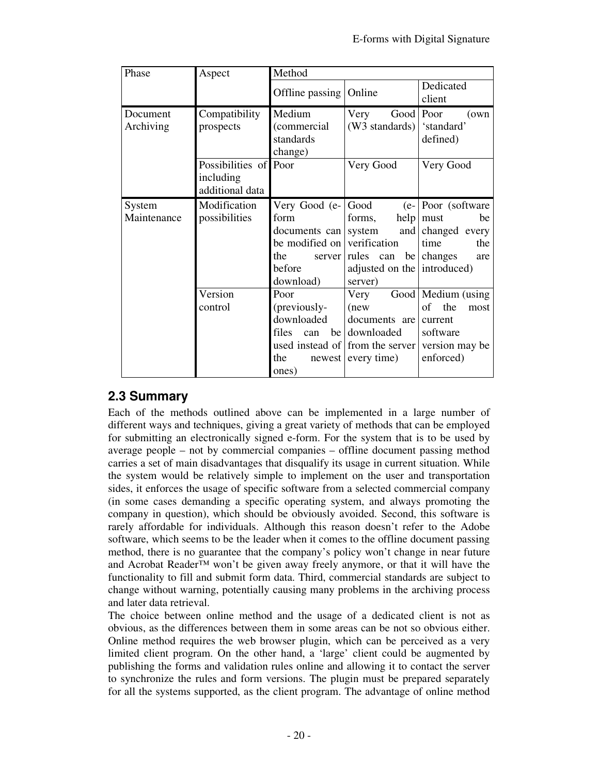| Phase                 | Aspect                                                | Method                                                                                                             |                                                                                                       |                                                                                                   |
|-----------------------|-------------------------------------------------------|--------------------------------------------------------------------------------------------------------------------|-------------------------------------------------------------------------------------------------------|---------------------------------------------------------------------------------------------------|
|                       |                                                       | Offline passing                                                                                                    | Online                                                                                                | Dedicated<br>client                                                                               |
| Document<br>Archiving | Compatibility<br>prospects                            | Medium<br>(commercial<br>standards<br>change)                                                                      | Good Poor<br>Very<br>(W3 standards)                                                                   | (own)<br>'standard'<br>defined)                                                                   |
|                       | Possibilities of Poor<br>including<br>additional data |                                                                                                                    | Very Good                                                                                             | Very Good                                                                                         |
| System<br>Maintenance | Modification<br>possibilities                         | Very Good (e-<br>form<br>documents can<br>be modified on<br>the<br>server  <br>before<br>download)                 | Good<br>forms,<br>system<br>verification<br>rules can<br>be<br>adjusted on the introduced)<br>server) | $(e -$ Poor (software)<br>$help$ must<br>be<br>and changed every<br>the<br>time<br>changes<br>are |
|                       | Version<br>control                                    | Poor<br>(previously-<br>downloaded<br>files<br>be <sub>1</sub><br>can<br>used instead of<br>the<br>newest<br>ones) | Very<br>(new)<br>documents are<br>downloaded<br>from the server<br>every time)                        | Good   Medium (using<br>of<br>the<br>most<br>current<br>software<br>version may be<br>enforced)   |

## **2.3 Summary**

Each of the methods outlined above can be implemented in a large number of different ways and techniques, giving a great variety of methods that can be employed for submitting an electronically signed e-form. For the system that is to be used by average people – not by commercial companies – offline document passing method carries a set of main disadvantages that disqualify its usage in current situation. While the system would be relatively simple to implement on the user and transportation sides, it enforces the usage of specific software from a selected commercial company (in some cases demanding a specific operating system, and always promoting the company in question), which should be obviously avoided. Second, this software is rarely affordable for individuals. Although this reason doesn't refer to the Adobe software, which seems to be the leader when it comes to the offline document passing method, there is no guarantee that the company's policy won't change in near future and Acrobat Reader™ won't be given away freely anymore, or that it will have the functionality to fill and submit form data. Third, commercial standards are subject to change without warning, potentially causing many problems in the archiving process and later data retrieval.

The choice between online method and the usage of a dedicated client is not as obvious, as the differences between them in some areas can be not so obvious either. Online method requires the web browser plugin, which can be perceived as a very limited client program. On the other hand, a 'large' client could be augmented by publishing the forms and validation rules online and allowing it to contact the server to synchronize the rules and form versions. The plugin must be prepared separately for all the systems supported, as the client program. The advantage of online method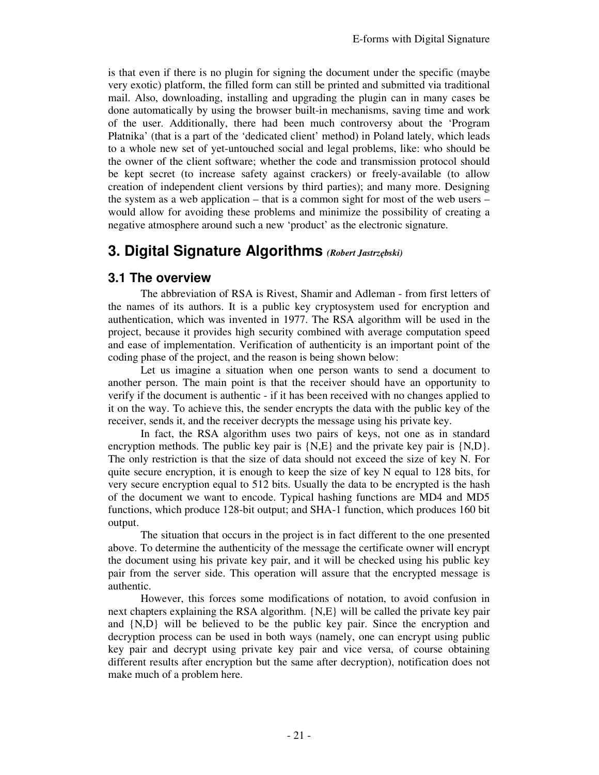is that even if there is no plugin for signing the document under the specific (maybe very exotic) platform, the filled form can still be printed and submitted via traditional mail. Also, downloading, installing and upgrading the plugin can in many cases be done automatically by using the browser built-in mechanisms, saving time and work of the user. Additionally, there had been much controversy about the 'Program Płatnika' (that is a part of the 'dedicated client' method) in Poland lately, which leads to a whole new set of yet-untouched social and legal problems, like: who should be the owner of the client software; whether the code and transmission protocol should be kept secret (to increase safety against crackers) or freely-available (to allow creation of independent client versions by third parties); and many more. Designing the system as a web application – that is a common sight for most of the web users – would allow for avoiding these problems and minimize the possibility of creating a negative atmosphere around such a new 'product' as the electronic signature.

# **3. Digital Signature Algorithms** *(Robert Jastrzębski)*

### **3.1 The overview**

The abbreviation of RSA is Rivest, Shamir and Adleman - from first letters of the names of its authors. It is a public key cryptosystem used for encryption and authentication, which was invented in 1977. The RSA algorithm will be used in the project, because it provides high security combined with average computation speed and ease of implementation. Verification of authenticity is an important point of the coding phase of the project, and the reason is being shown below:

Let us imagine a situation when one person wants to send a document to another person. The main point is that the receiver should have an opportunity to verify if the document is authentic - if it has been received with no changes applied to it on the way. To achieve this, the sender encrypts the data with the public key of the receiver, sends it, and the receiver decrypts the message using his private key.

In fact, the RSA algorithm uses two pairs of keys, not one as in standard encryption methods. The public key pair is  $\{N,E\}$  and the private key pair is  $\{N,D\}$ . The only restriction is that the size of data should not exceed the size of key N. For quite secure encryption, it is enough to keep the size of key N equal to 128 bits, for very secure encryption equal to 512 bits. Usually the data to be encrypted is the hash of the document we want to encode. Typical hashing functions are MD4 and MD5 functions, which produce 128-bit output; and SHA-1 function, which produces 160 bit output.

The situation that occurs in the project is in fact different to the one presented above. To determine the authenticity of the message the certificate owner will encrypt the document using his private key pair, and it will be checked using his public key pair from the server side. This operation will assure that the encrypted message is authentic.

However, this forces some modifications of notation, to avoid confusion in next chapters explaining the RSA algorithm. {N,E} will be called the private key pair and  $\{N, D\}$  will be believed to be the public key pair. Since the encryption and decryption process can be used in both ways (namely, one can encrypt using public key pair and decrypt using private key pair and vice versa, of course obtaining different results after encryption but the same after decryption), notification does not make much of a problem here.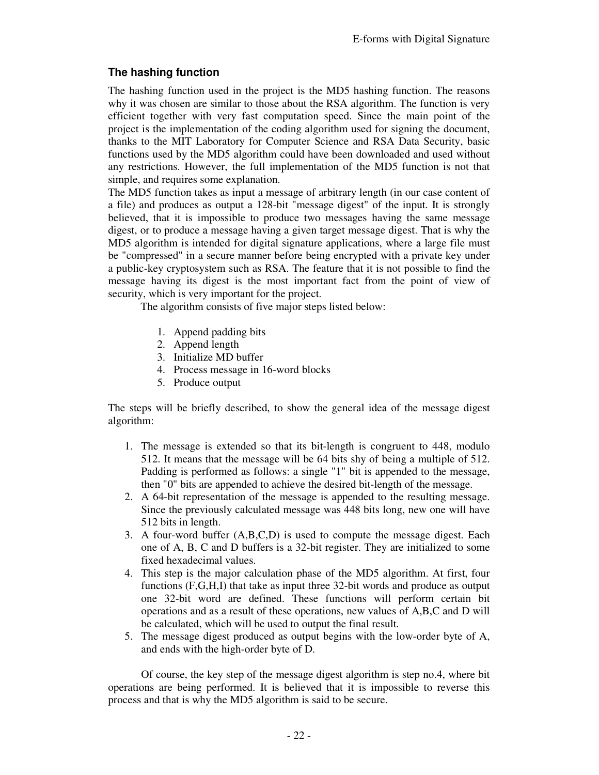### **The hashing function**

The hashing function used in the project is the MD5 hashing function. The reasons why it was chosen are similar to those about the RSA algorithm. The function is very efficient together with very fast computation speed. Since the main point of the project is the implementation of the coding algorithm used for signing the document, thanks to the MIT Laboratory for Computer Science and RSA Data Security, basic functions used by the MD5 algorithm could have been downloaded and used without any restrictions. However, the full implementation of the MD5 function is not that simple, and requires some explanation.

The MD5 function takes as input a message of arbitrary length (in our case content of a file) and produces as output a 128-bit "message digest" of the input. It is strongly believed, that it is impossible to produce two messages having the same message digest, or to produce a message having a given target message digest. That is why the MD5 algorithm is intended for digital signature applications, where a large file must be "compressed" in a secure manner before being encrypted with a private key under a public-key cryptosystem such as RSA. The feature that it is not possible to find the message having its digest is the most important fact from the point of view of security, which is very important for the project.

The algorithm consists of five major steps listed below:

- 1. Append padding bits
- 2. Append length
- 3. Initialize MD buffer
- 4. Process message in 16-word blocks
- 5. Produce output

The steps will be briefly described, to show the general idea of the message digest algorithm:

- 1. The message is extended so that its bit-length is congruent to 448, modulo 512. It means that the message will be 64 bits shy of being a multiple of 512. Padding is performed as follows: a single "1" bit is appended to the message, then "0" bits are appended to achieve the desired bit-length of the message.
- 2. A 64-bit representation of the message is appended to the resulting message. Since the previously calculated message was 448 bits long, new one will have 512 bits in length.
- 3. A four-word buffer (A,B,C,D) is used to compute the message digest. Each one of A, B, C and D buffers is a 32-bit register. They are initialized to some fixed hexadecimal values.
- 4. This step is the major calculation phase of the MD5 algorithm. At first, four functions (F,G,H,I) that take as input three 32-bit words and produce as output one 32-bit word are defined. These functions will perform certain bit operations and as a result of these operations, new values of A,B,C and D will be calculated, which will be used to output the final result.
- 5. The message digest produced as output begins with the low-order byte of A, and ends with the high-order byte of D.

Of course, the key step of the message digest algorithm is step no.4, where bit operations are being performed. It is believed that it is impossible to reverse this process and that is why the MD5 algorithm is said to be secure.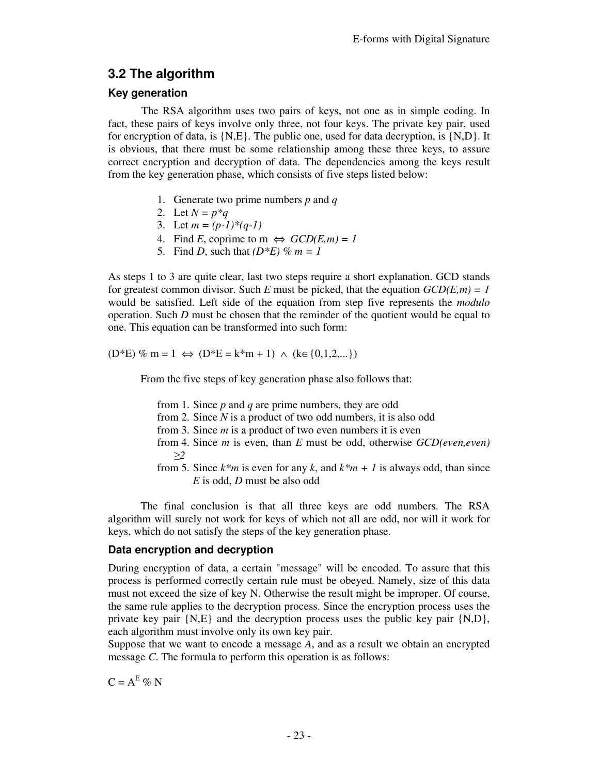# **3.2 The algorithm**

#### **Key generation**

The RSA algorithm uses two pairs of keys, not one as in simple coding. In fact, these pairs of keys involve only three, not four keys. The private key pair, used for encryption of data, is {N,E}. The public one, used for data decryption, is {N,D}. It is obvious, that there must be some relationship among these three keys, to assure correct encryption and decryption of data. The dependencies among the keys result from the key generation phase, which consists of five steps listed below:

- 1. Generate two prime numbers *p* and *q*
- 2. Let  $N = p * q$
- 3. Let *m = (p-1)\*(q-1)*
- 4. Find *E*, coprime to m  $\Leftrightarrow$   $GCD(E,m) = 1$
- 5. Find *D*, such that  $(D^*E)$  %  $m = 1$

As steps 1 to 3 are quite clear, last two steps require a short explanation. GCD stands for greatest common divisor. Such *E* must be picked, that the equation  $GCD(E,m) = 1$ would be satisfied. Left side of the equation from step five represents the *modulo* operation. Such *D* must be chosen that the reminder of the quotient would be equal to one. This equation can be transformed into such form:

 $(D*E)$  % m = 1 ⇔  $(D*E = k*m + 1)$  ∧  $(k ∈ {0,1,2,...})$ 

From the five steps of key generation phase also follows that:

- from 1. Since *p* and *q* are prime numbers, they are odd
- from 2. Since *N* is a product of two odd numbers, it is also odd
- from 3. Since *m* is a product of two even numbers it is even
- from 4. Since *m* is even, than *E* must be odd, otherwise *GCD(even,even) ≥2*
- from 5. Since  $k*m$  is even for any  $k$ , and  $k*m + 1$  is always odd, than since *E* is odd, *D* must be also odd

The final conclusion is that all three keys are odd numbers. The RSA algorithm will surely not work for keys of which not all are odd, nor will it work for keys, which do not satisfy the steps of the key generation phase.

#### **Data encryption and decryption**

During encryption of data, a certain "message" will be encoded. To assure that this process is performed correctly certain rule must be obeyed. Namely, size of this data must not exceed the size of key N. Otherwise the result might be improper. Of course, the same rule applies to the decryption process. Since the encryption process uses the private key pair {N,E} and the decryption process uses the public key pair {N,D}, each algorithm must involve only its own key pair.

Suppose that we want to encode a message *A*, and as a result we obtain an encrypted message *C*. The formula to perform this operation is as follows:

 $C = A^E \% N$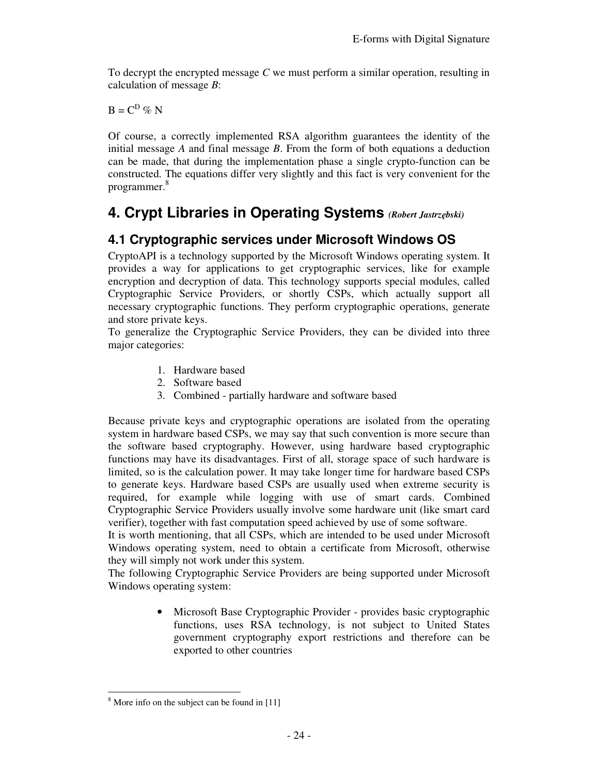To decrypt the encrypted message *C* we must perform a similar operation, resulting in calculation of message *B*:

 $B = C^D \otimes N$ 

Of course, a correctly implemented RSA algorithm guarantees the identity of the initial message *A* and final message *B*. From the form of both equations a deduction can be made, that during the implementation phase a single crypto-function can be constructed. The equations differ very slightly and this fact is very convenient for the programmer. 8

# **4. Crypt Libraries in Operating Systems** *(Robert Jastrzębski)*

# **4.1 Cryptographic services under Microsoft Windows OS**

CryptoAPI is a technology supported by the Microsoft Windows operating system. It provides a way for applications to get cryptographic services, like for example encryption and decryption of data. This technology supports special modules, called Cryptographic Service Providers, or shortly CSPs, which actually support all necessary cryptographic functions. They perform cryptographic operations, generate and store private keys.

To generalize the Cryptographic Service Providers, they can be divided into three major categories:

- 1. Hardware based
- 2. Software based
- 3. Combined partially hardware and software based

Because private keys and cryptographic operations are isolated from the operating system in hardware based CSPs, we may say that such convention is more secure than the software based cryptography. However, using hardware based cryptographic functions may have its disadvantages. First of all, storage space of such hardware is limited, so is the calculation power. It may take longer time for hardware based CSPs to generate keys. Hardware based CSPs are usually used when extreme security is required, for example while logging with use of smart cards. Combined Cryptographic Service Providers usually involve some hardware unit (like smart card verifier), together with fast computation speed achieved by use of some software.

It is worth mentioning, that all CSPs, which are intended to be used under Microsoft Windows operating system, need to obtain a certificate from Microsoft, otherwise they will simply not work under this system.

The following Cryptographic Service Providers are being supported under Microsoft Windows operating system:

> • Microsoft Base Cryptographic Provider - provides basic cryptographic functions, uses RSA technology, is not subject to United States government cryptography export restrictions and therefore can be exported to other countries

<sup>-</sup><sup>8</sup> More info on the subject can be found in [11]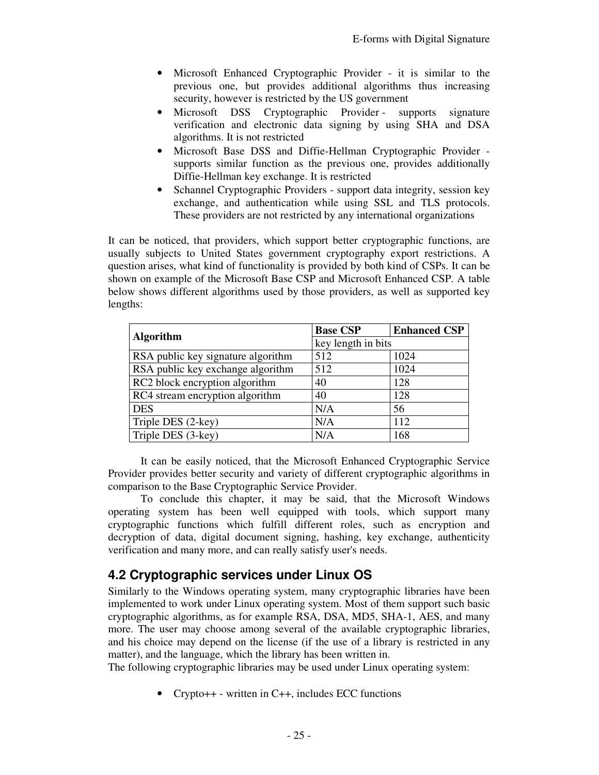- Microsoft Enhanced Cryptographic Provider it is similar to the previous one, but provides additional algorithms thus increasing security, however is restricted by the US government
- Microsoft DSS Cryptographic Provider supports signature verification and electronic data signing by using SHA and DSA algorithms. It is not restricted
- Microsoft Base DSS and Diffie-Hellman Cryptographic Provider supports similar function as the previous one, provides additionally Diffie-Hellman key exchange. It is restricted
- Schannel Cryptographic Providers support data integrity, session key exchange, and authentication while using SSL and TLS protocols. These providers are not restricted by any international organizations

It can be noticed, that providers, which support better cryptographic functions, are usually subjects to United States government cryptography export restrictions. A question arises, what kind of functionality is provided by both kind of CSPs. It can be shown on example of the Microsoft Base CSP and Microsoft Enhanced CSP. A table below shows different algorithms used by those providers, as well as supported key lengths:

| <b>Algorithm</b>                   | <b>Base CSP</b>    | <b>Enhanced CSP</b> |  |
|------------------------------------|--------------------|---------------------|--|
|                                    | key length in bits |                     |  |
| RSA public key signature algorithm | 512                | 1024                |  |
| RSA public key exchange algorithm  | 512                | 1024                |  |
| RC2 block encryption algorithm     | 40                 | 128                 |  |
| RC4 stream encryption algorithm    | 40                 | 128                 |  |
| <b>DES</b>                         | N/A                | 56                  |  |
| Triple DES (2-key)                 | N/A                | 112                 |  |
| Triple DES (3-key)                 | N/A                | 168                 |  |

It can be easily noticed, that the Microsoft Enhanced Cryptographic Service Provider provides better security and variety of different cryptographic algorithms in comparison to the Base Cryptographic Service Provider.

To conclude this chapter, it may be said, that the Microsoft Windows operating system has been well equipped with tools, which support many cryptographic functions which fulfill different roles, such as encryption and decryption of data, digital document signing, hashing, key exchange, authenticity verification and many more, and can really satisfy user's needs.

## **4.2 Cryptographic services under Linux OS**

Similarly to the Windows operating system, many cryptographic libraries have been implemented to work under Linux operating system. Most of them support such basic cryptographic algorithms, as for example RSA, DSA, MD5, SHA-1, AES, and many more. The user may choose among several of the available cryptographic libraries, and his choice may depend on the license (if the use of a library is restricted in any matter), and the language, which the library has been written in.

The following cryptographic libraries may be used under Linux operating system:

• Crypto++ - written in C++, includes ECC functions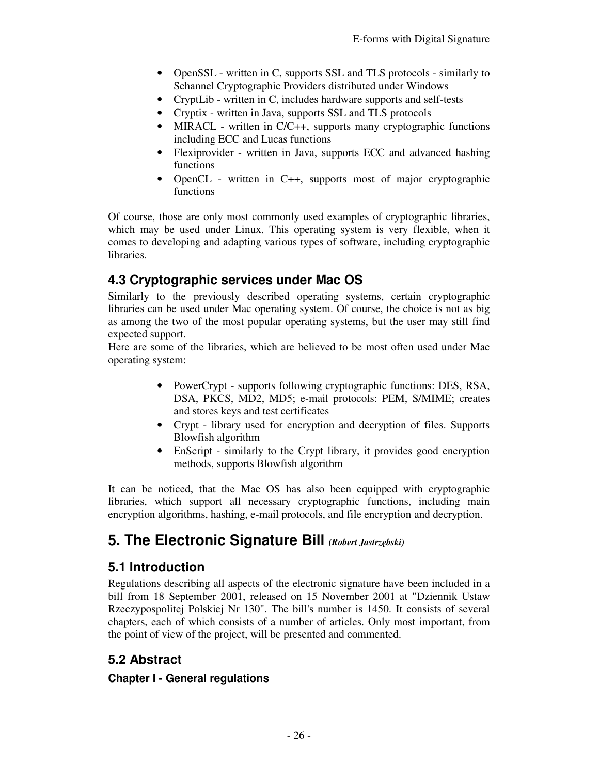- OpenSSL written in C, supports SSL and TLS protocols similarly to Schannel Cryptographic Providers distributed under Windows
- CryptLib written in C, includes hardware supports and self-tests
- Cryptix written in Java, supports SSL and TLS protocols
- MIRACL written in C/C++, supports many cryptographic functions including ECC and Lucas functions
- Flexiprovider written in Java, supports ECC and advanced hashing functions
- OpenCL written in C++, supports most of major cryptographic functions

Of course, those are only most commonly used examples of cryptographic libraries, which may be used under Linux. This operating system is very flexible, when it comes to developing and adapting various types of software, including cryptographic libraries.

# **4.3 Cryptographic services under Mac OS**

Similarly to the previously described operating systems, certain cryptographic libraries can be used under Mac operating system. Of course, the choice is not as big as among the two of the most popular operating systems, but the user may still find expected support.

Here are some of the libraries, which are believed to be most often used under Mac operating system:

- PowerCrypt supports following cryptographic functions: DES, RSA, DSA, PKCS, MD2, MD5; e-mail protocols: PEM, S/MIME; creates and stores keys and test certificates
- Crypt library used for encryption and decryption of files. Supports Blowfish algorithm
- EnScript similarly to the Crypt library, it provides good encryption methods, supports Blowfish algorithm

It can be noticed, that the Mac OS has also been equipped with cryptographic libraries, which support all necessary cryptographic functions, including main encryption algorithms, hashing, e-mail protocols, and file encryption and decryption.

# **5. The Electronic Signature Bill** *(Robert Jastrzębski)*

## **5.1 Introduction**

Regulations describing all aspects of the electronic signature have been included in a bill from 18 September 2001, released on 15 November 2001 at "Dziennik Ustaw Rzeczypospolitej Polskiej Nr 130". The bill's number is 1450. It consists of several chapters, each of which consists of a number of articles. Only most important, from the point of view of the project, will be presented and commented.

## **5.2 Abstract**

### **Chapter I - General regulations**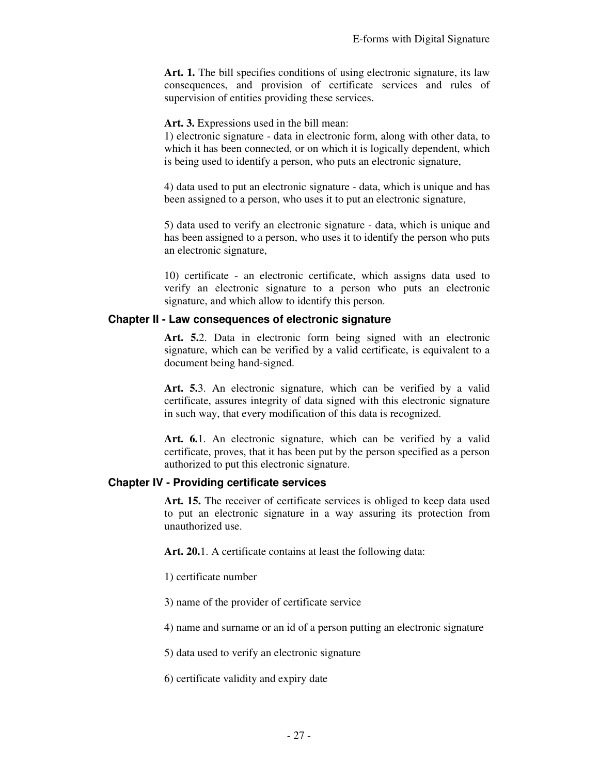Art. 1. The bill specifies conditions of using electronic signature, its law consequences, and provision of certificate services and rules of supervision of entities providing these services.

**Art. 3.** Expressions used in the bill mean:

1) electronic signature - data in electronic form, along with other data, to which it has been connected, or on which it is logically dependent, which is being used to identify a person, who puts an electronic signature,

4) data used to put an electronic signature - data, which is unique and has been assigned to a person, who uses it to put an electronic signature,

5) data used to verify an electronic signature - data, which is unique and has been assigned to a person, who uses it to identify the person who puts an electronic signature,

10) certificate - an electronic certificate, which assigns data used to verify an electronic signature to a person who puts an electronic signature, and which allow to identify this person.

#### **Chapter II - Law consequences of electronic signature**

**Art. 5.**2. Data in electronic form being signed with an electronic signature, which can be verified by a valid certificate, is equivalent to a document being hand-signed.

**Art. 5.**3. An electronic signature, which can be verified by a valid certificate, assures integrity of data signed with this electronic signature in such way, that every modification of this data is recognized.

**Art. 6.**1. An electronic signature, which can be verified by a valid certificate, proves, that it has been put by the person specified as a person authorized to put this electronic signature.

#### **Chapter IV - Providing certificate services**

**Art. 15.** The receiver of certificate services is obliged to keep data used to put an electronic signature in a way assuring its protection from unauthorized use.

**Art. 20.**1. A certificate contains at least the following data:

1) certificate number

3) name of the provider of certificate service

4) name and surname or an id of a person putting an electronic signature

5) data used to verify an electronic signature

6) certificate validity and expiry date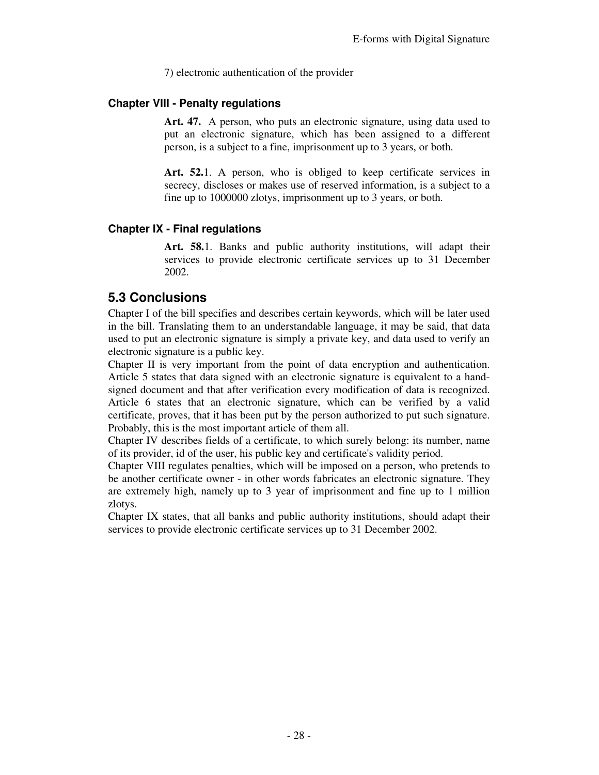7) electronic authentication of the provider

#### **Chapter VIII - Penalty regulations**

Art. 47. A person, who puts an electronic signature, using data used to put an electronic signature, which has been assigned to a different person, is a subject to a fine, imprisonment up to 3 years, or both.

Art. 52.1. A person, who is obliged to keep certificate services in secrecy, discloses or makes use of reserved information, is a subject to a fine up to 1000000 zlotys, imprisonment up to 3 years, or both.

#### **Chapter IX - Final regulations**

**Art. 58.**1. Banks and public authority institutions, will adapt their services to provide electronic certificate services up to 31 December 2002.

## **5.3 Conclusions**

Chapter I of the bill specifies and describes certain keywords, which will be later used in the bill. Translating them to an understandable language, it may be said, that data used to put an electronic signature is simply a private key, and data used to verify an electronic signature is a public key.

Chapter II is very important from the point of data encryption and authentication. Article 5 states that data signed with an electronic signature is equivalent to a handsigned document and that after verification every modification of data is recognized. Article 6 states that an electronic signature, which can be verified by a valid certificate, proves, that it has been put by the person authorized to put such signature. Probably, this is the most important article of them all.

Chapter IV describes fields of a certificate, to which surely belong: its number, name of its provider, id of the user, his public key and certificate's validity period.

Chapter VIII regulates penalties, which will be imposed on a person, who pretends to be another certificate owner - in other words fabricates an electronic signature. They are extremely high, namely up to 3 year of imprisonment and fine up to 1 million zlotys.

Chapter IX states, that all banks and public authority institutions, should adapt their services to provide electronic certificate services up to 31 December 2002.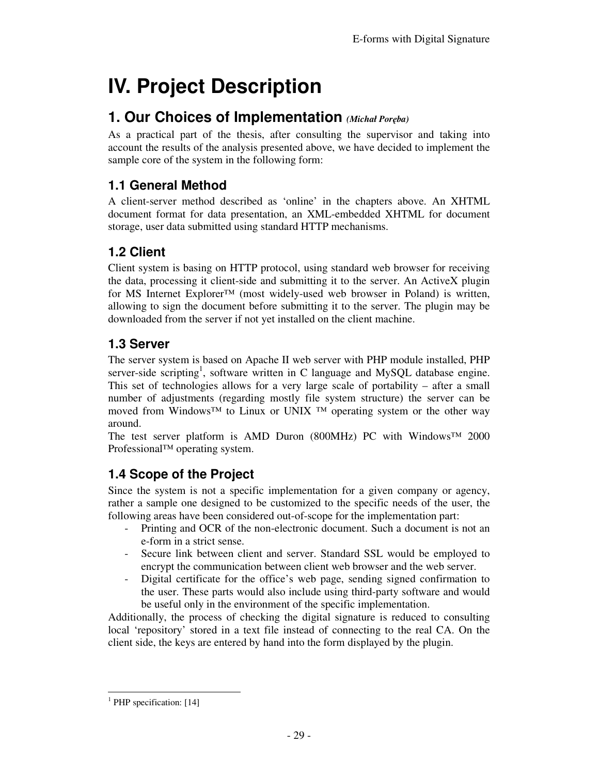# **IV. Project Description**

# **1. Our Choices of Implementation** *(Michał Poręba)*

As a practical part of the thesis, after consulting the supervisor and taking into account the results of the analysis presented above, we have decided to implement the sample core of the system in the following form:

# **1.1 General Method**

A client-server method described as 'online' in the chapters above. An XHTML document format for data presentation, an XML-embedded XHTML for document storage, user data submitted using standard HTTP mechanisms.

# **1.2 Client**

Client system is basing on HTTP protocol, using standard web browser for receiving the data, processing it client-side and submitting it to the server. An ActiveX plugin for MS Internet Explorer<sup>™</sup> (most widely-used web browser in Poland) is written, allowing to sign the document before submitting it to the server. The plugin may be downloaded from the server if not yet installed on the client machine.

# **1.3 Server**

The server system is based on Apache II web server with PHP module installed, PHP server-side scripting<sup>1</sup>, software written in C language and MySQL database engine. This set of technologies allows for a very large scale of portability – after a small number of adjustments (regarding mostly file system structure) the server can be moved from Windows<sup>™</sup> to Linux or UNIX <sup>™</sup> operating system or the other way around.

The test server platform is AMD Duron (800MHz) PC with Windows™ 2000 Professional™ operating system.

# **1.4 Scope of the Project**

Since the system is not a specific implementation for a given company or agency, rather a sample one designed to be customized to the specific needs of the user, the following areas have been considered out-of-scope for the implementation part:

- Printing and OCR of the non-electronic document. Such a document is not an e-form in a strict sense.
- Secure link between client and server. Standard SSL would be employed to encrypt the communication between client web browser and the web server.
- Digital certificate for the office's web page, sending signed confirmation to the user. These parts would also include using third-party software and would be useful only in the environment of the specific implementation.

Additionally, the process of checking the digital signature is reduced to consulting local 'repository' stored in a text file instead of connecting to the real CA. On the client side, the keys are entered by hand into the form displayed by the plugin.

<sup>-</sup><sup>1</sup> PHP specification: [14]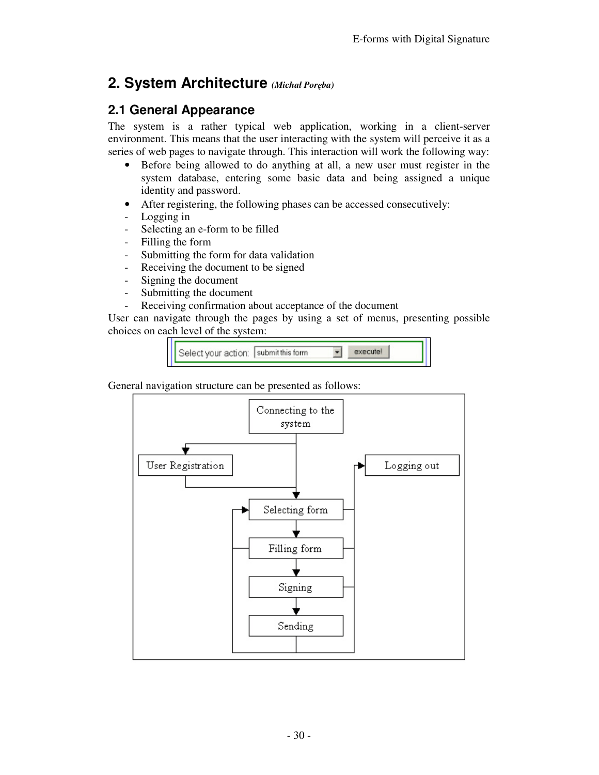# **2. System Architecture** *(Michał Poręba)*

## **2.1 General Appearance**

The system is a rather typical web application, working in a client-server environment. This means that the user interacting with the system will perceive it as a series of web pages to navigate through. This interaction will work the following way:

- Before being allowed to do anything at all, a new user must register in the system database, entering some basic data and being assigned a unique identity and password.
- After registering, the following phases can be accessed consecutively:
- Logging in
- Selecting an e-form to be filled
- Filling the form
- Submitting the form for data validation
- Receiving the document to be signed
- Signing the document
- Submitting the document
- Receiving confirmation about acceptance of the document

User can navigate through the pages by using a set of menus, presenting possible choices on each level of the system:



General navigation structure can be presented as follows:

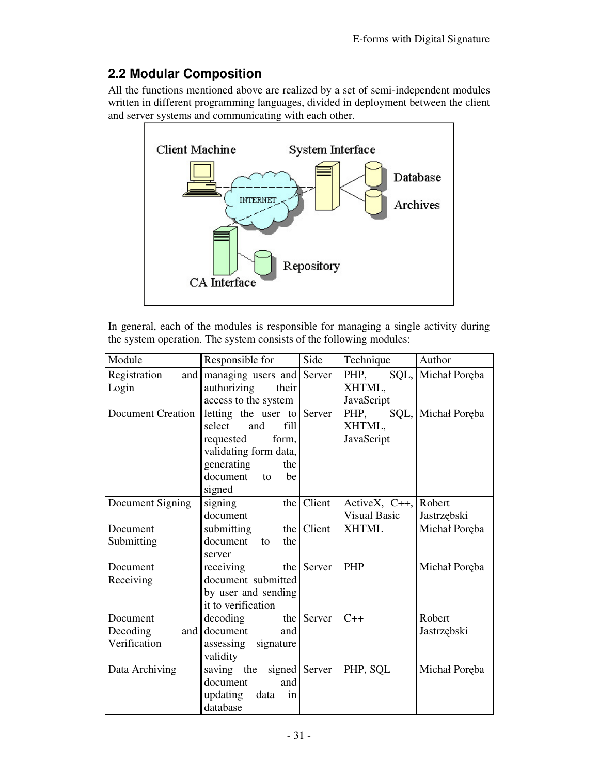# **2.2 Modular Composition**

All the functions mentioned above are realized by a set of semi-independent modules written in different programming languages, divided in deployment between the client and server systems and communicating with each other.



In general, each of the modules is responsible for managing a single activity during the system operation. The system consists of the following modules:

| Module                                      | Responsible for                                                                                                                                           | Side               | Technique                                  | Author                |
|---------------------------------------------|-----------------------------------------------------------------------------------------------------------------------------------------------------------|--------------------|--------------------------------------------|-----------------------|
| Registration<br>Login                       | and managing users and Server<br>authorizing<br>their<br>access to the system                                                                             |                    | PHP,<br>XHTML,<br>JavaScript               | SQL, Michał Poręba    |
| <b>Document Creation</b>                    | letting the user to Server<br>select<br>fill<br>and<br>requested<br>form,<br>validating form data,<br>generating<br>the<br>document<br>to<br>be<br>signed |                    | PHP,<br>XHTML,<br>JavaScript               | SQL, Michał Poręba    |
| Document Signing                            | signing<br>document                                                                                                                                       | the $\vert$ Client | ActiveX, $C_{++}$ ,<br><b>Visual Basic</b> | Robert<br>Jastrzębski |
| Document<br>Submitting                      | submitting<br>document<br>the<br>to<br>server                                                                                                             | the   Client       | <b>XHTML</b>                               | Michał Poręba         |
| Document<br>Receiving                       | receiving<br>document submitted<br>by user and sending<br>it to verification                                                                              | the Server         | <b>PHP</b>                                 | Michał Poręba         |
| Document<br>Decoding<br>and<br>Verification | decoding<br>document<br>and<br>assessing signature<br>validity                                                                                            | the Server         | $C++$                                      | Robert<br>Jastrzębski |
| Data Archiving                              | saving the signed Server<br>document<br>and<br>updating<br>in<br>data<br>database                                                                         |                    | PHP, SQL                                   | Michał Poręba         |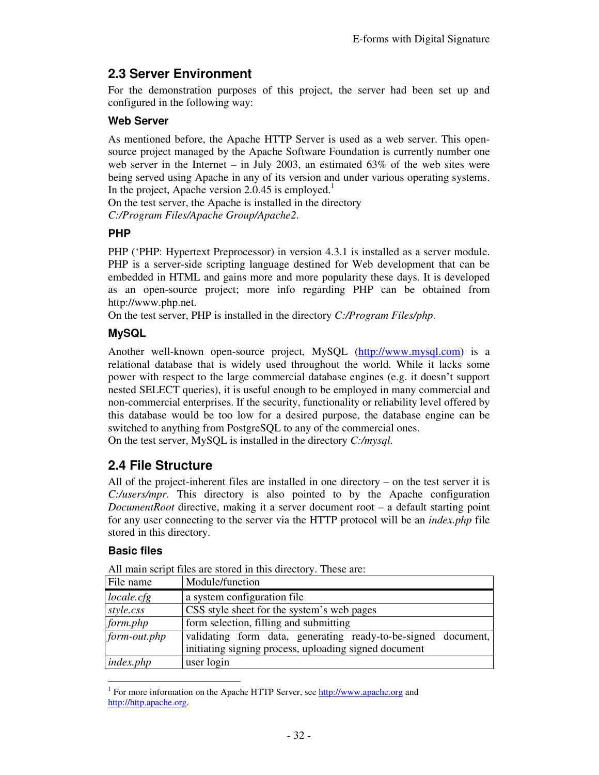# **2.3 Server Environment**

For the demonstration purposes of this project, the server had been set up and configured in the following way:

#### **Web Server**

As mentioned before, the Apache HTTP Server is used as a web server. This opensource project managed by the Apache Software Foundation is currently number one web server in the Internet – in July 2003, an estimated  $63\%$  of the web sites were being served using Apache in any of its version and under various operating systems. In the project, Apache version 2.0.45 is employed.<sup>1</sup>

On the test server, the Apache is installed in the directory *C:/Program Files/Apache Group/Apache2*.

#### **PHP**

PHP ('PHP: Hypertext Preprocessor) in version 4.3.1 is installed as a server module. PHP is a server-side scripting language destined for Web development that can be embedded in HTML and gains more and more popularity these days. It is developed as an open-source project; more info regarding PHP can be obtained from http://www.php.net.

On the test server, PHP is installed in the directory *C:/Program Files/php*.

### **MySQL**

Another well-known open-source project, MySQL (http://www.mysql.com) is a relational database that is widely used throughout the world. While it lacks some power with respect to the large commercial database engines (e.g. it doesn't support nested SELECT queries), it is useful enough to be employed in many commercial and non-commercial enterprises. If the security, functionality or reliability level offered by this database would be too low for a desired purpose, the database engine can be switched to anything from PostgreSQL to any of the commercial ones.

On the test server, MySQL is installed in the directory *C:/mysql*.

## **2.4 File Structure**

All of the project-inherent files are installed in one directory – on the test server it is *C:/users/mpr*. This directory is also pointed to by the Apache configuration *DocumentRoot* directive, making it a server document root – a default starting point for any user connecting to the server via the HTTP protocol will be an *index.php* file stored in this directory.

### **Basic files**

| File name      | Module/function                                                                                                        |
|----------------|------------------------------------------------------------------------------------------------------------------------|
| locale.cfg     | a system configuration file                                                                                            |
| style.css      | CSS style sheet for the system's web pages                                                                             |
| form.php       | form selection, filling and submitting                                                                                 |
| $form-out.php$ | validating form data, generating ready-to-be-signed document,<br>initiating signing process, uploading signed document |
| index.php      | user login                                                                                                             |

All main script files are stored in this directory. These are:

<sup>-</sup><sup>1</sup> For more information on the Apache HTTP Server, see http://www.apache.org and http://http.apache.org.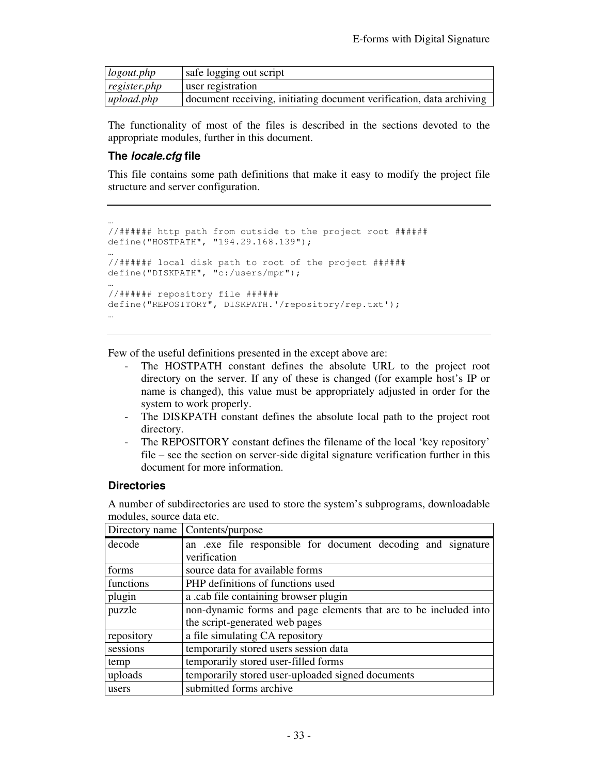| logout.php   | safe logging out script                                              |
|--------------|----------------------------------------------------------------------|
| register.php | user registration                                                    |
| upload.php   | document receiving, initiating document verification, data archiving |

The functionality of most of the files is described in the sections devoted to the appropriate modules, further in this document.

#### **The locale.cfg file**

This file contains some path definitions that make it easy to modify the project file structure and server configuration.

```
… 
//###### http path from outside to the project root ###### 
define("HOSTPATH", "194.29.168.139"); 
… 
//###### local disk path to root of the project ###### 
define("DISKPATH", "c:/users/mpr"); 
… 
//###### repository file ###### 
define("REPOSITORY", DISKPATH.'/repository/rep.txt'); 
…
```
Few of the useful definitions presented in the except above are:

- The HOSTPATH constant defines the absolute URL to the project root directory on the server. If any of these is changed (for example host's IP or name is changed), this value must be appropriately adjusted in order for the system to work properly.
- The DISKPATH constant defines the absolute local path to the project root directory.
- The REPOSITORY constant defines the filename of the local 'key repository' file – see the section on server-side digital signature verification further in this document for more information.

#### **Directories**

A number of subdirectories are used to store the system's subprograms, downloadable modules, source data etc.

| Directory name | Contents/purpose                                                 |  |  |
|----------------|------------------------------------------------------------------|--|--|
| decode         | an exercile responsible for document decoding and signature      |  |  |
|                | verification                                                     |  |  |
| forms          | source data for available forms                                  |  |  |
| functions      | PHP definitions of functions used                                |  |  |
| plugin         | a .cab file containing browser plugin                            |  |  |
| puzzle         | non-dynamic forms and page elements that are to be included into |  |  |
|                | the script-generated web pages                                   |  |  |
| repository     | a file simulating CA repository                                  |  |  |
| sessions       | temporarily stored users session data                            |  |  |
| temp           | temporarily stored user-filled forms                             |  |  |
| uploads        | temporarily stored user-uploaded signed documents                |  |  |
| users          | submitted forms archive                                          |  |  |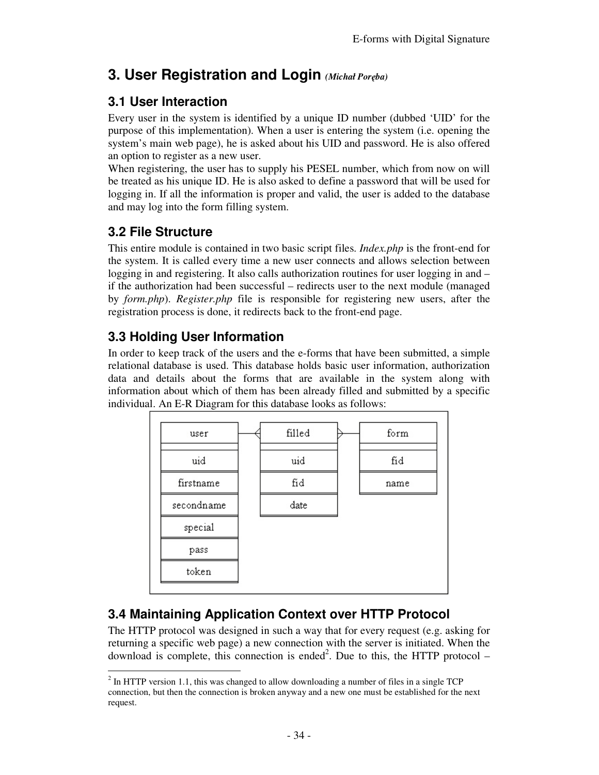# **3. User Registration and Login** *(Michał Poręba)*

# **3.1 User Interaction**

Every user in the system is identified by a unique ID number (dubbed 'UID' for the purpose of this implementation). When a user is entering the system (i.e. opening the system's main web page), he is asked about his UID and password. He is also offered an option to register as a new user.

When registering, the user has to supply his PESEL number, which from now on will be treated as his unique ID. He is also asked to define a password that will be used for logging in. If all the information is proper and valid, the user is added to the database and may log into the form filling system.

# **3.2 File Structure**

This entire module is contained in two basic script files. *Index.php* is the front-end for the system. It is called every time a new user connects and allows selection between logging in and registering. It also calls authorization routines for user logging in and – if the authorization had been successful – redirects user to the next module (managed by *form.php*). *Register.php* file is responsible for registering new users, after the registration process is done, it redirects back to the front-end page.

# **3.3 Holding User Information**

In order to keep track of the users and the e-forms that have been submitted, a simple relational database is used. This database holds basic user information, authorization data and details about the forms that are available in the system along with information about which of them has been already filled and submitted by a specific individual. An E-R Diagram for this database looks as follows:



# **3.4 Maintaining Application Context over HTTP Protocol**

The HTTP protocol was designed in such a way that for every request (e.g. asking for returning a specific web page) a new connection with the server is initiated. When the download is complete, this connection is ended<sup>2</sup>. Due to this, the HTTP protocol  $-$ 

<sup>-</sup> $2^{2}$  In HTTP version 1.1, this was changed to allow downloading a number of files in a single TCP connection, but then the connection is broken anyway and a new one must be established for the next request.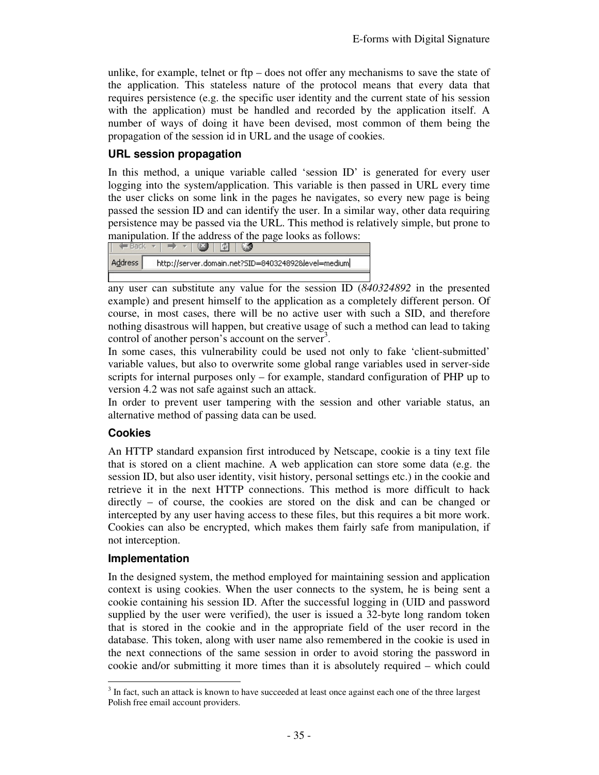unlike, for example, telnet or  $ftp - does not offer any mechanisms to save the state of$ the application. This stateless nature of the protocol means that every data that requires persistence (e.g. the specific user identity and the current state of his session with the application) must be handled and recorded by the application itself. A number of ways of doing it have been devised, most common of them being the propagation of the session id in URL and the usage of cookies.

#### **URL session propagation**

In this method, a unique variable called 'session ID' is generated for every user logging into the system/application. This variable is then passed in URL every time the user clicks on some link in the pages he navigates, so every new page is being passed the session ID and can identify the user. In a similar way, other data requiring persistence may be passed via the URL. This method is relatively simple, but prone to manipulation. If the address of the page looks as follows:

| Address <sub>1</sub> | http://server.domain.net?SID=840324892&level=medium |
|----------------------|-----------------------------------------------------|

any user can substitute any value for the session ID (*840324892* in the presented example) and present himself to the application as a completely different person. Of course, in most cases, there will be no active user with such a SID, and therefore nothing disastrous will happen, but creative usage of such a method can lead to taking control of another person's account on the server<sup>3</sup>.

In some cases, this vulnerability could be used not only to fake 'client-submitted' variable values, but also to overwrite some global range variables used in server-side scripts for internal purposes only – for example, standard configuration of PHP up to version 4.2 was not safe against such an attack.

In order to prevent user tampering with the session and other variable status, an alternative method of passing data can be used.

### **Cookies**

An HTTP standard expansion first introduced by Netscape, cookie is a tiny text file that is stored on a client machine. A web application can store some data (e.g. the session ID, but also user identity, visit history, personal settings etc.) in the cookie and retrieve it in the next HTTP connections. This method is more difficult to hack directly – of course, the cookies are stored on the disk and can be changed or intercepted by any user having access to these files, but this requires a bit more work. Cookies can also be encrypted, which makes them fairly safe from manipulation, if not interception.

#### **Implementation**

In the designed system, the method employed for maintaining session and application context is using cookies. When the user connects to the system, he is being sent a cookie containing his session ID. After the successful logging in (UID and password supplied by the user were verified), the user is issued a 32-byte long random token that is stored in the cookie and in the appropriate field of the user record in the database. This token, along with user name also remembered in the cookie is used in the next connections of the same session in order to avoid storing the password in cookie and/or submitting it more times than it is absolutely required – which could

<sup>&</sup>lt;sup>3</sup> In fact, such an attack is known to have succeeded at least once against each one of the three largest Polish free email account providers.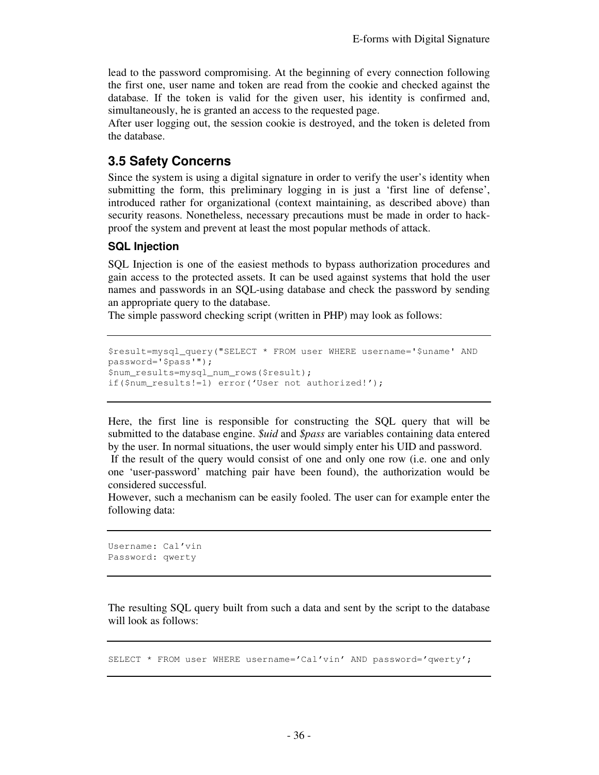lead to the password compromising. At the beginning of every connection following the first one, user name and token are read from the cookie and checked against the database. If the token is valid for the given user, his identity is confirmed and, simultaneously, he is granted an access to the requested page.

After user logging out, the session cookie is destroyed, and the token is deleted from the database.

### **3.5 Safety Concerns**

Since the system is using a digital signature in order to verify the user's identity when submitting the form, this preliminary logging in is just a 'first line of defense', introduced rather for organizational (context maintaining, as described above) than security reasons. Nonetheless, necessary precautions must be made in order to hackproof the system and prevent at least the most popular methods of attack.

#### **SQL Injection**

SQL Injection is one of the easiest methods to bypass authorization procedures and gain access to the protected assets. It can be used against systems that hold the user names and passwords in an SQL-using database and check the password by sending an appropriate query to the database.

The simple password checking script (written in PHP) may look as follows:

```
$result=mysql_query("SELECT * FROM user WHERE username='$uname' AND 
password='$pass'"); 
$num_results=mysql_num_rows($result); 
if($num_results!=1) error('User not authorized!');
```
Here, the first line is responsible for constructing the SQL query that will be submitted to the database engine. *\$uid* and *\$pass* are variables containing data entered by the user. In normal situations, the user would simply enter his UID and password.

 If the result of the query would consist of one and only one row (i.e. one and only one 'user-password' matching pair have been found), the authorization would be considered successful.

However, such a mechanism can be easily fooled. The user can for example enter the following data:

```
Username: Cal'vin 
Password: qwerty
```
The resulting SQL query built from such a data and sent by the script to the database will look as follows:

SELECT \* FROM user WHERE username='Cal'vin' AND password='qwerty';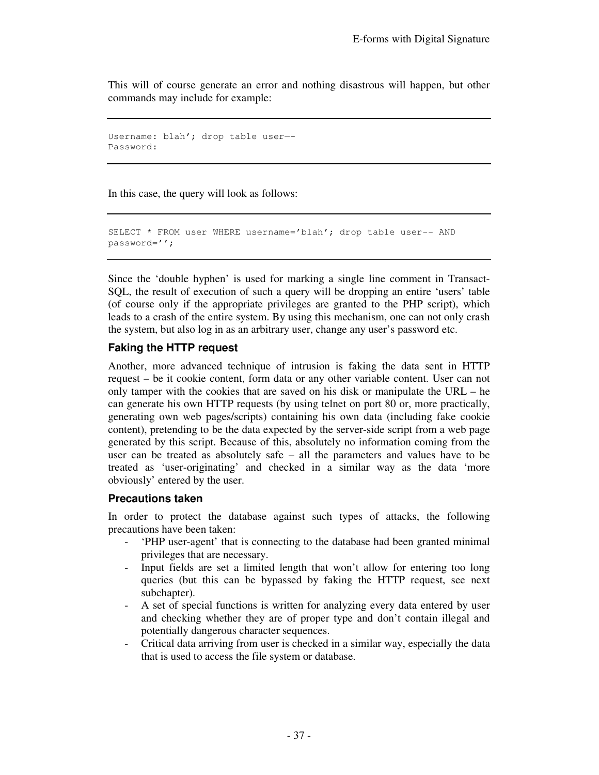This will of course generate an error and nothing disastrous will happen, but other commands may include for example:

```
Username: blah'; drop table user—- 
Password:
```
In this case, the query will look as follows:

```
SELECT * FROM user WHERE username='blah'; drop table user-- AND 
password='';
```
Since the 'double hyphen' is used for marking a single line comment in Transact-SQL, the result of execution of such a query will be dropping an entire 'users' table (of course only if the appropriate privileges are granted to the PHP script), which leads to a crash of the entire system. By using this mechanism, one can not only crash the system, but also log in as an arbitrary user, change any user's password etc.

#### **Faking the HTTP request**

Another, more advanced technique of intrusion is faking the data sent in HTTP request – be it cookie content, form data or any other variable content. User can not only tamper with the cookies that are saved on his disk or manipulate the URL – he can generate his own HTTP requests (by using telnet on port 80 or, more practically, generating own web pages/scripts) containing his own data (including fake cookie content), pretending to be the data expected by the server-side script from a web page generated by this script. Because of this, absolutely no information coming from the user can be treated as absolutely safe – all the parameters and values have to be treated as 'user-originating' and checked in a similar way as the data 'more obviously' entered by the user.

#### **Precautions taken**

In order to protect the database against such types of attacks, the following precautions have been taken:

- 'PHP user-agent' that is connecting to the database had been granted minimal privileges that are necessary.
- Input fields are set a limited length that won't allow for entering too long queries (but this can be bypassed by faking the HTTP request, see next subchapter).
- A set of special functions is written for analyzing every data entered by user and checking whether they are of proper type and don't contain illegal and potentially dangerous character sequences.
- Critical data arriving from user is checked in a similar way, especially the data that is used to access the file system or database.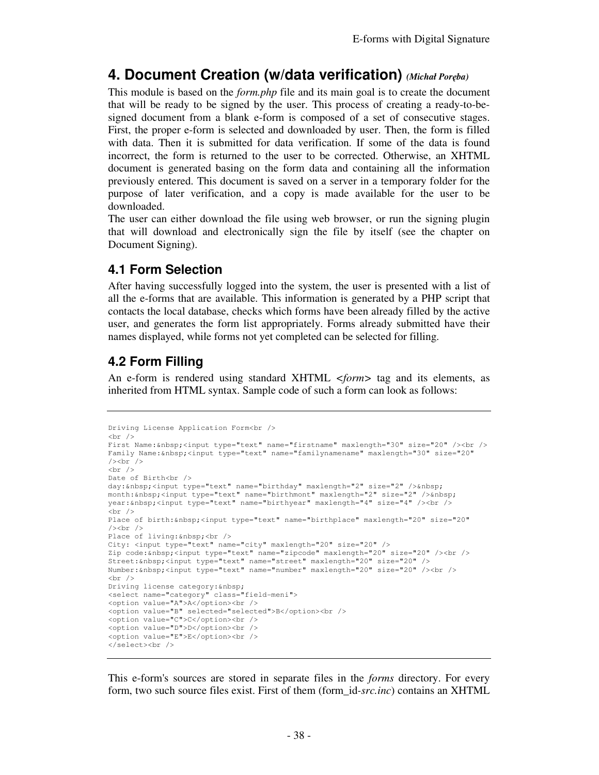# **4. Document Creation (w/data verification)** *(Michał Poręba)*

This module is based on the *form.php* file and its main goal is to create the document that will be ready to be signed by the user. This process of creating a ready-to-besigned document from a blank e-form is composed of a set of consecutive stages. First, the proper e-form is selected and downloaded by user. Then, the form is filled with data. Then it is submitted for data verification. If some of the data is found incorrect, the form is returned to the user to be corrected. Otherwise, an XHTML document is generated basing on the form data and containing all the information previously entered. This document is saved on a server in a temporary folder for the purpose of later verification, and a copy is made available for the user to be downloaded.

The user can either download the file using web browser, or run the signing plugin that will download and electronically sign the file by itself (see the chapter on Document Signing).

## **4.1 Form Selection**

After having successfully logged into the system, the user is presented with a list of all the e-forms that are available. This information is generated by a PHP script that contacts the local database, checks which forms have been already filled by the active user, and generates the form list appropriately. Forms already submitted have their names displayed, while forms not yet completed can be selected for filling.

# **4.2 Form Filling**

An e-form is rendered using standard XHTML *<form>* tag and its elements, as inherited from HTML syntax. Sample code of such a form can look as follows:

```
Driving License Application Form<br /> 
\text{br} />
First Name: <input type="text" name="firstname" maxlength="30" size="20" /><br />
Family Name:&nbsp;<input type="text" name="familynamename" maxlength="30" size="20" 
/><br />\>\text{br} />
Date of Birth<br />
day:  <input type="text" name="birthday" maxlength="2" size="2" />&nbsp;
month: 
shosp; <input type="text" name="birthmont" maxlength="2" size="2" />
shosp;
year: <input type="text" name="birthyear" maxlength="4" size="4" /><br />
\text{br} />
Place of birth:\&nhbsp;<input type="text" name="birthplace" maxlength="20" size="20"
/\timesbr /\timesPlace of living:   <br />
City: <input type="text" name="city" maxlength="20" size="20" /> 
Zip code: <input type="text" name="zipcode" maxlength="20" size="20" /><br />
Street: <input type="text" name="street" maxlength="20" size="20" />
Number: **bsp;<input type="text" name="number" maxlength="20" size="20" /><br />
br />
Driving license category: & nbsp;
<select name="category" class="field-meni"> 
<option value="A">A</option><br /> 
<option value="B" selected="selected">B</option><br />
<option value="C">C</option><br /> 
<option value="D">D</option><br />
<option value="E">E</option><br />
</select><br />
```
This e-form's sources are stored in separate files in the *forms* directory. For every form, two such source files exist. First of them (form\_id*-src.inc*) contains an XHTML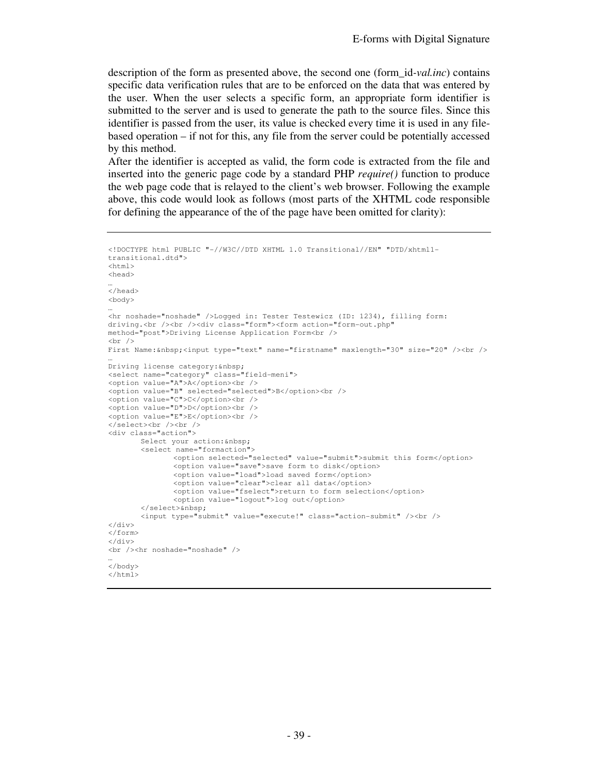description of the form as presented above, the second one (form\_id*-val.inc*) contains specific data verification rules that are to be enforced on the data that was entered by the user. When the user selects a specific form, an appropriate form identifier is submitted to the server and is used to generate the path to the source files. Since this identifier is passed from the user, its value is checked every time it is used in any filebased operation – if not for this, any file from the server could be potentially accessed by this method.

After the identifier is accepted as valid, the form code is extracted from the file and inserted into the generic page code by a standard PHP *require()* function to produce the web page code that is relayed to the client's web browser. Following the example above, this code would look as follows (most parts of the XHTML code responsible for defining the appearance of the of the page have been omitted for clarity):

```
<!DOCTYPE html PUBLIC "-//W3C//DTD XHTML 1.0 Transitional//EN" "DTD/xhtml1-
transitional.dtd"> 
<html><head> 
… 
</head> 
<body> 
… 
<hr noshade="noshade" />Logged in: Tester Testewicz (ID: 1234), filling form: 
driving.<br />>/>/><div class="form"><form action="form-out.php"
method="post">Driving License Application Form<br /> 
\text{br} />
First Name: <input type="text" name="firstname" maxlength="30" size="20" /><br />
… 
Driving license category: & nbsp;
<select name="category" class="field-meni"> 
<option value="A">A</option><br /> 
<option value="B" selected="selected">B</option><br /> 
<option value="C">C</option><br />
<option value="D">D</option><br />
<option value="E">E</option><br />
</select><br />>/> /><br />
<div class="action"> 
       Select your action:  
         <select name="formaction"> 
                 <option selected="selected" value="submit">submit this form</option> 
                <option value="save">save form to disk</option> 
                 <option value="load">load saved form</option> 
                <option value="clear">clear all data</option>
                 <option value="fselect">return to form selection</option> 
               <option value="logout">log out</option>
         </select>&nbsp; 
         <input type="submit" value="execute!" class="action-submit" /><br /> 
\langlediv\rangle</form> 
</div> 
<br />>
<hr noshade="noshade" />
… 
</body> 
\langle/html>
```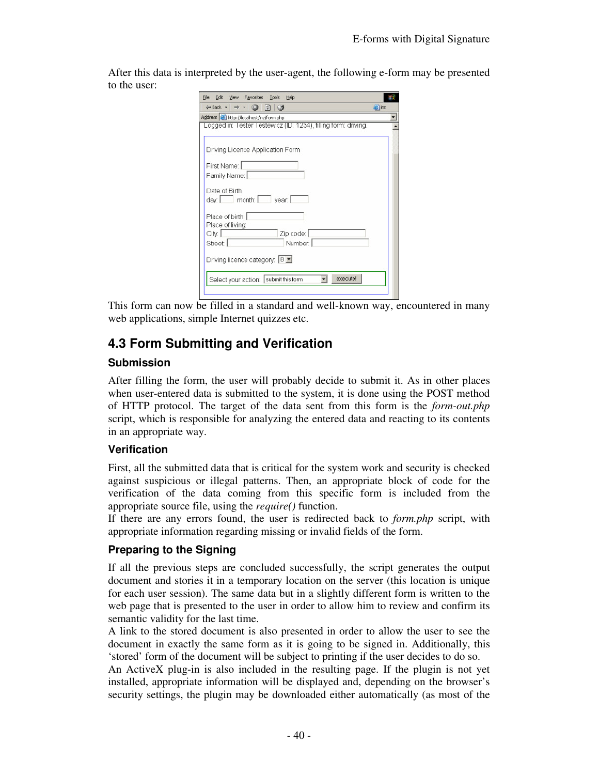After this data is interpreted by the user-agent, the following e-form may be presented to the user:

| Edit:<br>Favorites Tools Help<br>File<br>View                                              |       |
|--------------------------------------------------------------------------------------------|-------|
| $\leftarrow$ Back $\cdot$ $\rightarrow$ $\cdot$ $\circ$<br>$\vert x \vert$<br>$\epsilon$ 3 | e inz |
| Address (a) http://localhost/inz/form.php                                                  |       |
| Logged in: Tester Testewicz (ID: 1234), filling form: driving.                             |       |
|                                                                                            |       |
| Driving Licence Application Form                                                           |       |
|                                                                                            |       |
| First Name:                                                                                |       |
| Family Name:                                                                               |       |
| Date of Birth                                                                              |       |
| day.   month:   year.                                                                      |       |
|                                                                                            |       |
| Place of birth:                                                                            |       |
| Place of living:                                                                           |       |
| Zip code:<br>City.                                                                         |       |
| Number.<br>Street                                                                          |       |
| Driving licence category: B =                                                              |       |
|                                                                                            |       |
| execute!<br>Select your action: submit this form                                           |       |
|                                                                                            |       |
|                                                                                            |       |

This form can now be filled in a standard and well-known way, encountered in many web applications, simple Internet quizzes etc.

# **4.3 Form Submitting and Verification**

#### **Submission**

After filling the form, the user will probably decide to submit it. As in other places when user-entered data is submitted to the system, it is done using the POST method of HTTP protocol. The target of the data sent from this form is the *form-out.php* script, which is responsible for analyzing the entered data and reacting to its contents in an appropriate way.

#### **Verification**

First, all the submitted data that is critical for the system work and security is checked against suspicious or illegal patterns. Then, an appropriate block of code for the verification of the data coming from this specific form is included from the appropriate source file, using the *require()* function.

If there are any errors found, the user is redirected back to *form.php* script, with appropriate information regarding missing or invalid fields of the form.

### **Preparing to the Signing**

If all the previous steps are concluded successfully, the script generates the output document and stories it in a temporary location on the server (this location is unique for each user session). The same data but in a slightly different form is written to the web page that is presented to the user in order to allow him to review and confirm its semantic validity for the last time.

A link to the stored document is also presented in order to allow the user to see the document in exactly the same form as it is going to be signed in. Additionally, this 'stored' form of the document will be subject to printing if the user decides to do so.

An ActiveX plug-in is also included in the resulting page. If the plugin is not yet installed, appropriate information will be displayed and, depending on the browser's security settings, the plugin may be downloaded either automatically (as most of the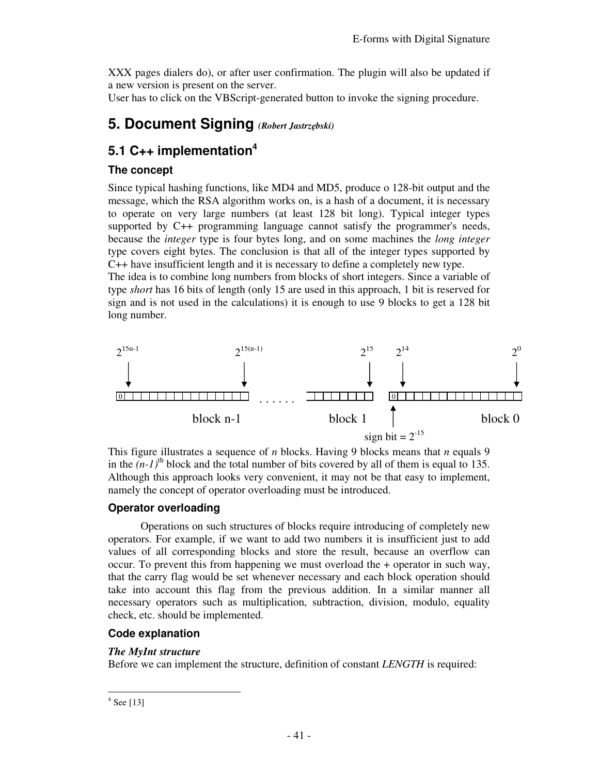XXX pages dialers do), or after user confirmation. The plugin will also be updated if a new version is present on the server.

User has to click on the VBScript-generated button to invoke the signing procedure.

# **5. Document Signing** *(Robert Jastrzębski)*

# **5.1 C++ implementation<sup>4</sup>**

#### **The concept**

Since typical hashing functions, like MD4 and MD5, produce o 128-bit output and the message, which the RSA algorithm works on, is a hash of a document, it is necessary to operate on very large numbers (at least 128 bit long). Typical integer types supported by C++ programming language cannot satisfy the programmer's needs, because the *integer* type is four bytes long, and on some machines the *long integer* type covers eight bytes. The conclusion is that all of the integer types supported by C++ have insufficient length and it is necessary to define a completely new type. The idea is to combine long numbers from blocks of short integers. Since a variable of type *short* has 16 bits of length (only 15 are used in this approach, 1 bit is reserved for sign and is not used in the calculations) it is enough to use 9 blocks to get a 128 bit

long number.



This figure illustrates a sequence of *n* blocks. Having 9 blocks means that *n* equals 9 in the  $(n-1)$ <sup>th</sup> block and the total number of bits covered by all of them is equal to 135. Although this approach looks very convenient, it may not be that easy to implement, namely the concept of operator overloading must be introduced.

### **Operator overloading**

Operations on such structures of blocks require introducing of completely new operators. For example, if we want to add two numbers it is insufficient just to add values of all corresponding blocks and store the result, because an overflow can occur. To prevent this from happening we must overload the + operator in such way, that the carry flag would be set whenever necessary and each block operation should take into account this flag from the previous addition. In a similar manner all necessary operators such as multiplication, subtraction, division, modulo, equality check, etc. should be implemented.

### **Code explanation**

#### *The MyInt structure*

Before we can implement the structure, definition of constant *LENGTH* is required:

-

<sup>4</sup> See [13]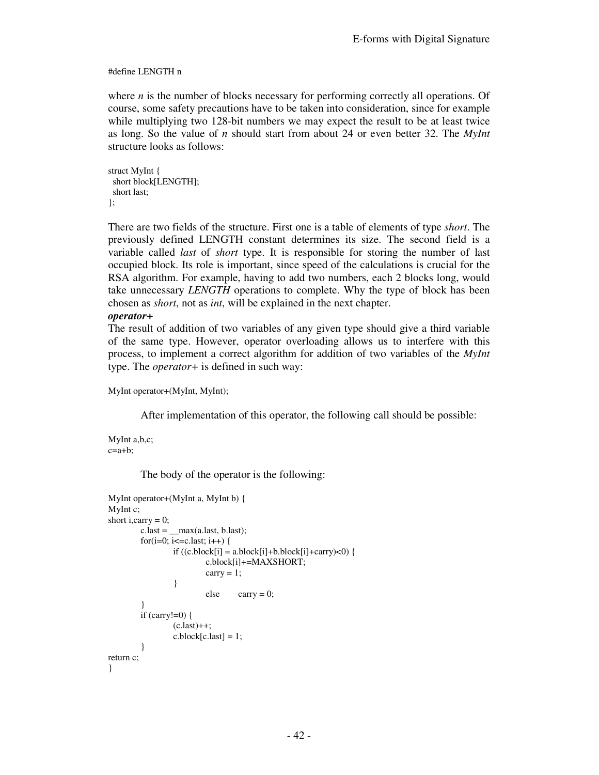#### #define LENGTH n

where *n* is the number of blocks necessary for performing correctly all operations. Of course, some safety precautions have to be taken into consideration, since for example while multiplying two 128-bit numbers we may expect the result to be at least twice as long. So the value of *n* should start from about 24 or even better 32. The *MyInt* structure looks as follows:

```
struct MyInt { 
  short block[LENGTH]; 
  short last; 
};
```
There are two fields of the structure. First one is a table of elements of type *short*. The previously defined LENGTH constant determines its size. The second field is a variable called *last* of *short* type. It is responsible for storing the number of last occupied block. Its role is important, since speed of the calculations is crucial for the RSA algorithm. For example, having to add two numbers, each 2 blocks long, would take unnecessary *LENGTH* operations to complete. Why the type of block has been chosen as *short*, not as *int*, will be explained in the next chapter.

#### *operator+*

The result of addition of two variables of any given type should give a third variable of the same type. However, operator overloading allows us to interfere with this process, to implement a correct algorithm for addition of two variables of the *MyInt* type. The *operator+* is defined in such way:

MyInt operator+(MyInt, MyInt);

After implementation of this operator, the following call should be possible:

MyInt a,b,c;  $c=a+b$ :

The body of the operator is the following:

```
MyInt operator+(MyInt a, MyInt b) { 
MyInt c; 
short i, carry = 0;
        c.\nlast = \nmax(a.\nlast, b.\nlast);for(i=0; i<=c.last; i++) {
                if ((c.block[i] = a.block[i]+b.block[i]+carry)<0) {
                         c.block[i]+=MAXSHORT; 
                        carry = 1;
 } 
                        else carry = 0;
 } 
        if (carry!=0) {
                (c.last)++;
                c.block[c.last] = 1; } 
return c; 
}
```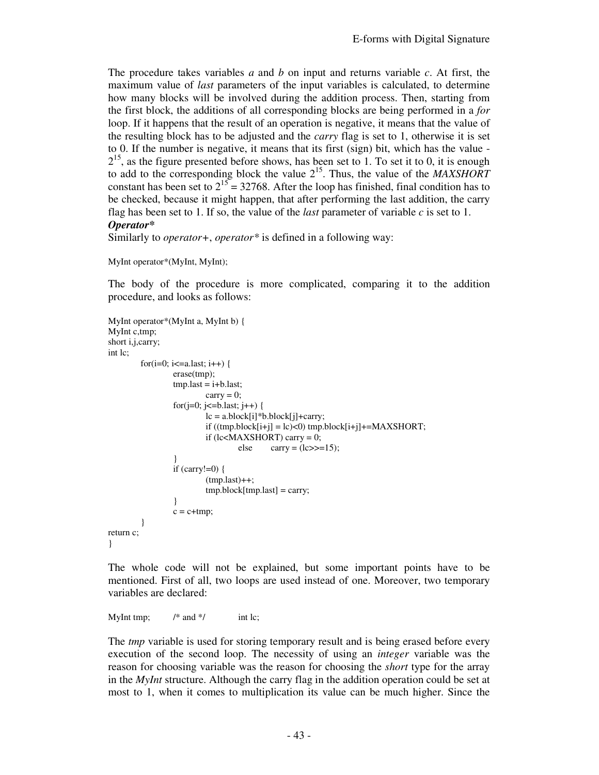The procedure takes variables *a* and *b* on input and returns variable *c*. At first, the maximum value of *last* parameters of the input variables is calculated, to determine how many blocks will be involved during the addition process. Then, starting from the first block, the additions of all corresponding blocks are being performed in a *for* loop. If it happens that the result of an operation is negative, it means that the value of the resulting block has to be adjusted and the *carry* flag is set to 1, otherwise it is set to 0. If the number is negative, it means that its first (sign) bit, which has the value -  $2^{15}$ , as the figure presented before shows, has been set to 1. To set it to 0, it is enough to add to the corresponding block the value 2<sup>15</sup>. Thus, the value of the *MAXSHORT* constant has been set to  $2^{15} = 32768$ . After the loop has finished, final condition has to be checked, because it might happen, that after performing the last addition, the carry flag has been set to 1. If so, the value of the *last* parameter of variable *c* is set to 1. *Operator\** 

Similarly to *operator+*, *operator\** is defined in a following way:

```
MyInt operator*(MyInt, MyInt);
```
The body of the procedure is more complicated, comparing it to the addition procedure, and looks as follows:

```
MyInt operator*(MyInt a, MyInt b) { 
MyInt c,tmp; 
short i,j,carry; 
int lc; 
        for(i=0; i\le=a.last; i++) {
                  erase(tmp); 
                  tmp-last = i + b-last;carry = 0;
                  for(j=0; j<=b.last; j++) {
                          lc = a.block[i]*b.block[i]+carry;if ((tmp.block[i+j] = lc) < 0) \text{tmp.block}[i+j] += MAXSHORT;if (lc\triangleMAXSHORT) carry = 0;
                                   else carry = (lc \gg 15);
          } 
                  if (carry!=0) {
                          (tmp.last)++;tmp.block[tmp.last] = carry; } 
                 c = c + tmp; } 
return c; 
}
```
The whole code will not be explained, but some important points have to be mentioned. First of all, two loops are used instead of one. Moreover, two temporary variables are declared:

MyInt tmp;  $/*$  and  $*/$  int lc;

The *tmp* variable is used for storing temporary result and is being erased before every execution of the second loop. The necessity of using an *integer* variable was the reason for choosing variable was the reason for choosing the *short* type for the array in the *MyInt* structure. Although the carry flag in the addition operation could be set at most to 1, when it comes to multiplication its value can be much higher. Since the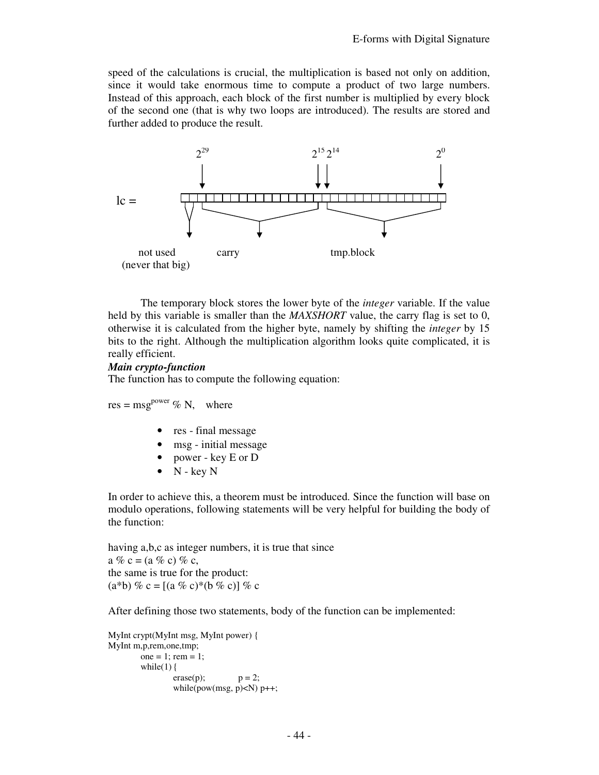speed of the calculations is crucial, the multiplication is based not only on addition, since it would take enormous time to compute a product of two large numbers. Instead of this approach, each block of the first number is multiplied by every block of the second one (that is why two loops are introduced). The results are stored and further added to produce the result.



The temporary block stores the lower byte of the *integer* variable. If the value held by this variable is smaller than the *MAXSHORT* value, the carry flag is set to 0, otherwise it is calculated from the higher byte, namely by shifting the *integer* by 15 bits to the right. Although the multiplication algorithm looks quite complicated, it is really efficient.

#### *Main crypto-function*

The function has to compute the following equation:

res = msg<sup>power</sup>  $\%$  N, where

- res final message
- msg initial message
- power key E or D
- $\bullet$  N key N

In order to achieve this, a theorem must be introduced. Since the function will base on modulo operations, following statements will be very helpful for building the body of the function:

having a,b,c as integer numbers, it is true that since a % c = (a % c) % c, the same is true for the product: (a\*b) % c = [(a % c)\*(b % c)] % c

After defining those two statements, body of the function can be implemented:

```
MyInt crypt(MyInt msg, MyInt power) { 
MyInt m,p,rem,one,tmp; 
        one = 1; rem = 1;
        while(1) {
                 \text{erase}(p); \quad p = 2; while(pow(msg, p)<N) p++;
```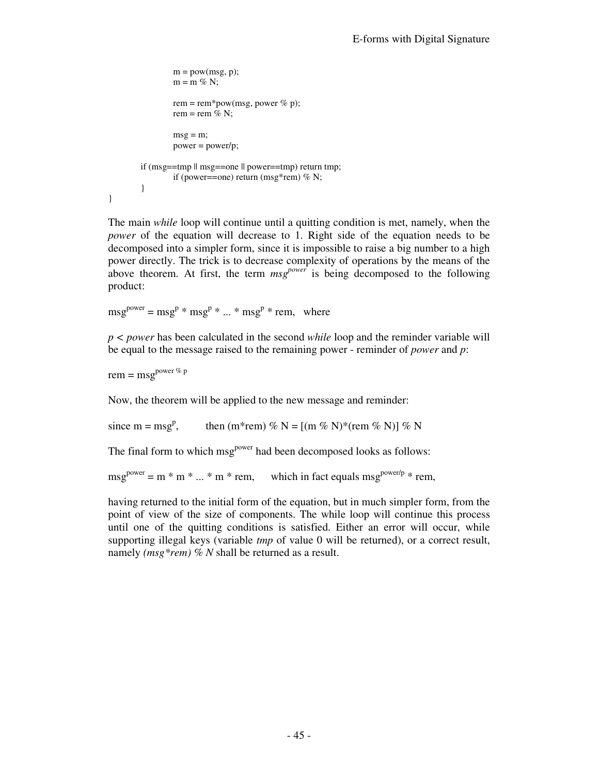```
m = pow(msg, p);m = m \% N;
                 rem = rem*pow(msg, power % p);
                 rem = rem % N;
                 msg = m; power = power/p; 
        if (msg==tmp \parallel msg==one \parallel power==tmp) return tmp;
                 if (power==one) return (msg*rem) % N; } 
}
```
The main *while* loop will continue until a quitting condition is met, namely, when the *power* of the equation will decrease to 1. Right side of the equation needs to be decomposed into a simpler form, since it is impossible to raise a big number to a high power directly. The trick is to decrease complexity of operations by the means of the above theorem. At first, the term  $msg^{power}$  is being decomposed to the following product:

 $msg<sup>power</sup> = msg<sup>p</sup> * msg<sup>p</sup> * ... * msg<sup>p</sup> * rem, where$ 

*p < power* has been calculated in the second *while* loop and the reminder variable will be equal to the message raised to the remaining power - reminder of *power* and *p*:

rem =  $msg<sup>power %p</sup>$ 

Now, the theorem will be applied to the new message and reminder:

since  $m = msg^p$ , then (m<sup>\*</sup>rem) % N =  $[(m % N)^*(rem % N)] %$ 

The final form to which msg<sup>power</sup> had been decomposed looks as follows:

 $msg<sup>power</sup> = m * m * ... * m * rem$ , which in fact equals msg<sup>power/p</sup> \* rem,

having returned to the initial form of the equation, but in much simpler form, from the point of view of the size of components. The while loop will continue this process until one of the quitting conditions is satisfied. Either an error will occur, while supporting illegal keys (variable *tmp* of value 0 will be returned), or a correct result, namely *(msg\*rem) % N* shall be returned as a result.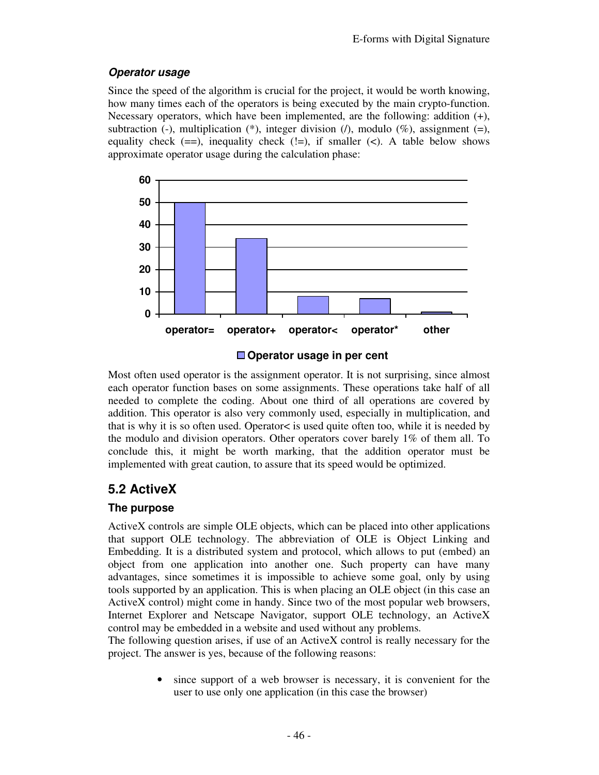### **Operator usage**

Since the speed of the algorithm is crucial for the project, it would be worth knowing, how many times each of the operators is being executed by the main crypto-function. Necessary operators, which have been implemented, are the following: addition (+), subtraction (-), multiplication (\*), integer division  $(1)$ , modulo  $(\%)$ , assignment (=), equality check  $(==)$ , inequality check  $(!=)$ , if smaller  $(<)$ . A table below shows approximate operator usage during the calculation phase:



**Operator usage in per cent** 

Most often used operator is the assignment operator. It is not surprising, since almost each operator function bases on some assignments. These operations take half of all needed to complete the coding. About one third of all operations are covered by addition. This operator is also very commonly used, especially in multiplication, and that is why it is so often used. Operator< is used quite often too, while it is needed by the modulo and division operators. Other operators cover barely 1% of them all. To conclude this, it might be worth marking, that the addition operator must be implemented with great caution, to assure that its speed would be optimized.

# **5.2 ActiveX**

### **The purpose**

ActiveX controls are simple OLE objects, which can be placed into other applications that support OLE technology. The abbreviation of OLE is Object Linking and Embedding. It is a distributed system and protocol, which allows to put (embed) an object from one application into another one. Such property can have many advantages, since sometimes it is impossible to achieve some goal, only by using tools supported by an application. This is when placing an OLE object (in this case an ActiveX control) might come in handy. Since two of the most popular web browsers, Internet Explorer and Netscape Navigator, support OLE technology, an ActiveX control may be embedded in a website and used without any problems.

The following question arises, if use of an ActiveX control is really necessary for the project. The answer is yes, because of the following reasons:

> since support of a web browser is necessary, it is convenient for the user to use only one application (in this case the browser)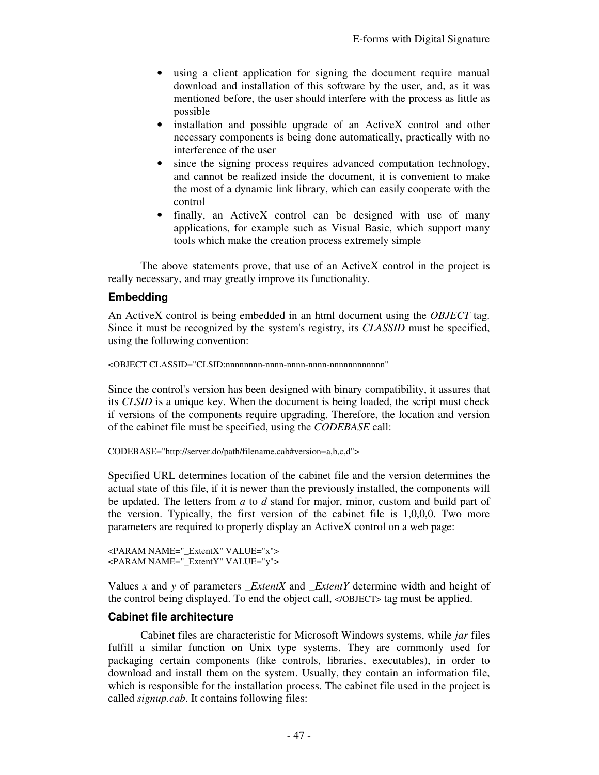- using a client application for signing the document require manual download and installation of this software by the user, and, as it was mentioned before, the user should interfere with the process as little as possible
- installation and possible upgrade of an ActiveX control and other necessary components is being done automatically, practically with no interference of the user
- since the signing process requires advanced computation technology, and cannot be realized inside the document, it is convenient to make the most of a dynamic link library, which can easily cooperate with the control
- finally, an ActiveX control can be designed with use of many applications, for example such as Visual Basic, which support many tools which make the creation process extremely simple

The above statements prove, that use of an ActiveX control in the project is really necessary, and may greatly improve its functionality.

#### **Embedding**

An ActiveX control is being embedded in an html document using the *OBJECT* tag. Since it must be recognized by the system's registry, its *CLASSID* must be specified, using the following convention:

```
<OBJECT CLASSID="CLSID:nnnnnnnn-nnnn-nnnn-nnnn-nnnnnnnnnnnn"
```
Since the control's version has been designed with binary compatibility, it assures that its *CLSID* is a unique key. When the document is being loaded, the script must check if versions of the components require upgrading. Therefore, the location and version of the cabinet file must be specified, using the *CODEBASE* call:

```
CODEBASE="http://server.do/path/filename.cab#version=a,b,c,d">
```
Specified URL determines location of the cabinet file and the version determines the actual state of this file, if it is newer than the previously installed, the components will be updated. The letters from *a* to *d* stand for major, minor, custom and build part of the version. Typically, the first version of the cabinet file is 1,0,0,0. Two more parameters are required to properly display an ActiveX control on a web page:

```
<PARAM NAME="_ExtentX" VALUE="x"> 
<PARAM NAME="_ExtentY" VALUE="y">
```
Values *x* and *y* of parameters *\_ExtentX* and *\_ExtentY* determine width and height of the control being displayed. To end the object call, </OBJECT> tag must be applied.

#### **Cabinet file architecture**

Cabinet files are characteristic for Microsoft Windows systems, while *jar* files fulfill a similar function on Unix type systems. They are commonly used for packaging certain components (like controls, libraries, executables), in order to download and install them on the system. Usually, they contain an information file, which is responsible for the installation process. The cabinet file used in the project is called *signup.cab*. It contains following files: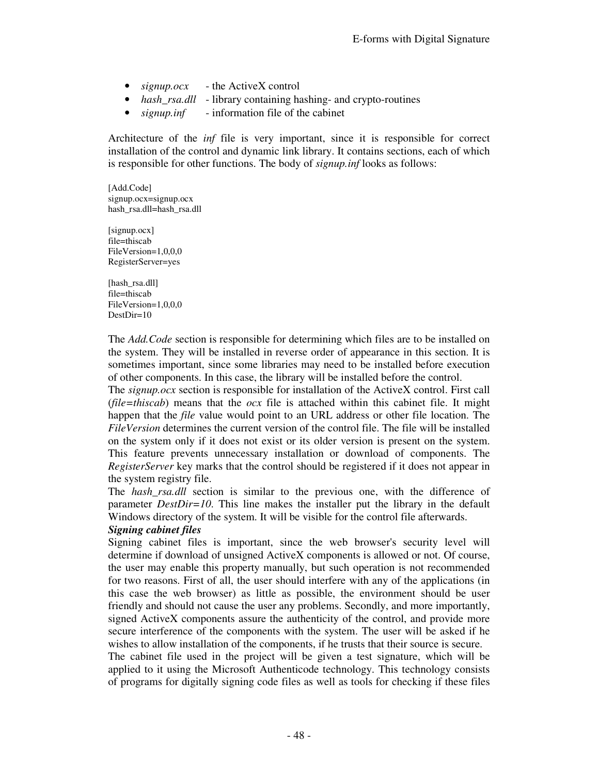- *signup.ocx* the ActiveX control
- *hash rsa.dll* library containing hashing- and crypto-routines
- *signup.inf* information file of the cabinet

Architecture of the *inf* file is very important, since it is responsible for correct installation of the control and dynamic link library. It contains sections, each of which is responsible for other functions. The body of *signup.inf* looks as follows:

[Add.Code] signup.ocx=signup.ocx hash\_rsa.dll=hash\_rsa.dll

[signup.ocx] file=thiscab FileVersion=1,0,0,0 RegisterServer=yes

[hash\_rsa.dll] file=thiscab FileVersion=1,0,0,0 DestDir=10

The *Add.Code* section is responsible for determining which files are to be installed on the system. They will be installed in reverse order of appearance in this section. It is sometimes important, since some libraries may need to be installed before execution of other components. In this case, the library will be installed before the control.

The *signup.ocx* section is responsible for installation of the ActiveX control. First call (*file=thiscab*) means that the *ocx* file is attached within this cabinet file. It might happen that the *file* value would point to an URL address or other file location. The *FileVersion* determines the current version of the control file. The file will be installed on the system only if it does not exist or its older version is present on the system. This feature prevents unnecessary installation or download of components. The *RegisterServer* key marks that the control should be registered if it does not appear in the system registry file.

The *hash\_rsa.dll* section is similar to the previous one, with the difference of parameter *DestDir=10*. This line makes the installer put the library in the default Windows directory of the system. It will be visible for the control file afterwards.

#### *Signing cabinet files*

Signing cabinet files is important, since the web browser's security level will determine if download of unsigned ActiveX components is allowed or not. Of course, the user may enable this property manually, but such operation is not recommended for two reasons. First of all, the user should interfere with any of the applications (in this case the web browser) as little as possible, the environment should be user friendly and should not cause the user any problems. Secondly, and more importantly, signed ActiveX components assure the authenticity of the control, and provide more secure interference of the components with the system. The user will be asked if he wishes to allow installation of the components, if he trusts that their source is secure.

The cabinet file used in the project will be given a test signature, which will be applied to it using the Microsoft Authenticode technology. This technology consists of programs for digitally signing code files as well as tools for checking if these files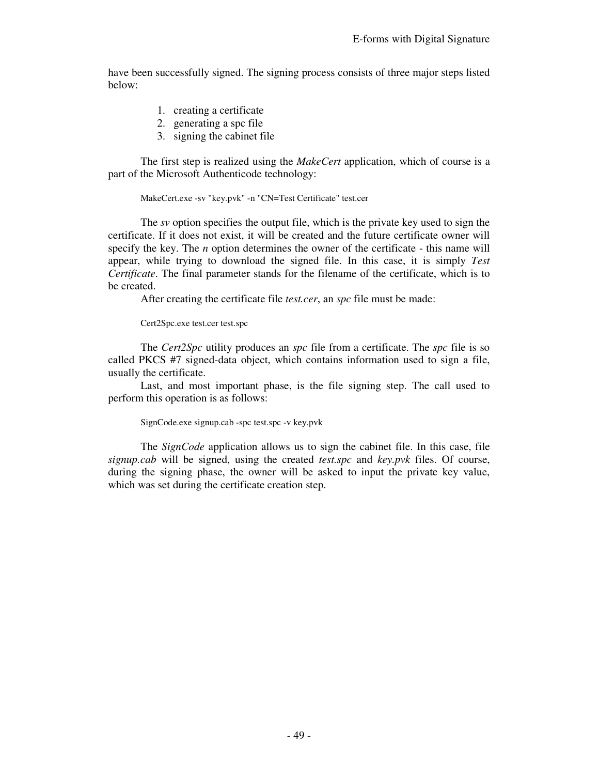have been successfully signed. The signing process consists of three major steps listed below:

- 1. creating a certificate
- 2. generating a spc file
- 3. signing the cabinet file

The first step is realized using the *MakeCert* application, which of course is a part of the Microsoft Authenticode technology:

MakeCert.exe -sv "key.pvk" -n "CN=Test Certificate" test.cer

 The *sv* option specifies the output file, which is the private key used to sign the certificate. If it does not exist, it will be created and the future certificate owner will specify the key. The *n* option determines the owner of the certificate - this name will appear, while trying to download the signed file. In this case, it is simply *Test Certificate*. The final parameter stands for the filename of the certificate, which is to be created.

After creating the certificate file *test.cer*, an *spc* file must be made:

Cert2Spc.exe test.cer test.spc

The *Cert2Spc* utility produces an *spc* file from a certificate. The *spc* file is so called PKCS #7 signed-data object, which contains information used to sign a file, usually the certificate.

Last, and most important phase, is the file signing step. The call used to perform this operation is as follows:

SignCode.exe signup.cab -spc test.spc -v key.pvk

The *SignCode* application allows us to sign the cabinet file. In this case, file *signup.cab* will be signed, using the created *test.spc* and *key.pvk* files. Of course, during the signing phase, the owner will be asked to input the private key value, which was set during the certificate creation step.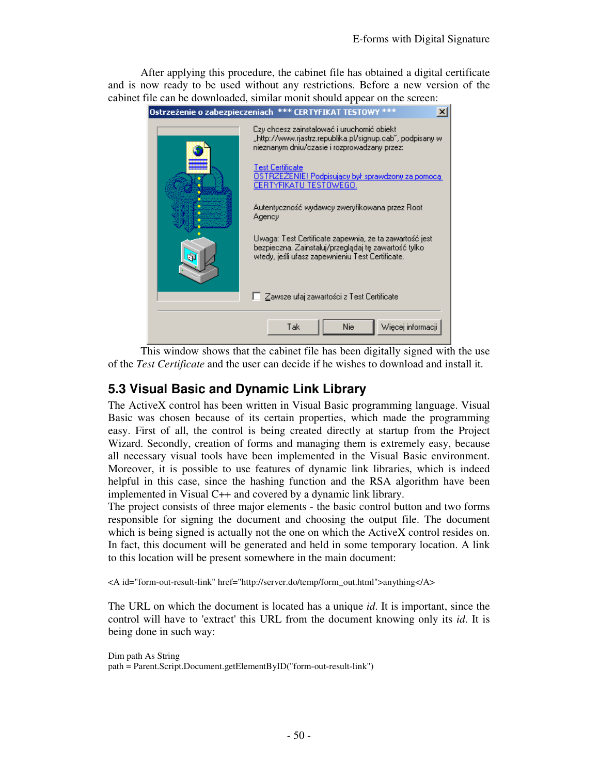After applying this procedure, the cabinet file has obtained a digital certificate and is now ready to be used without any restrictions. Before a new version of the cabinet file can be downloaded, similar monit should appear on the screen:



 This window shows that the cabinet file has been digitally signed with the use of the *Test Certificate* and the user can decide if he wishes to download and install it.

# **5.3 Visual Basic and Dynamic Link Library**

The ActiveX control has been written in Visual Basic programming language. Visual Basic was chosen because of its certain properties, which made the programming easy. First of all, the control is being created directly at startup from the Project Wizard. Secondly, creation of forms and managing them is extremely easy, because all necessary visual tools have been implemented in the Visual Basic environment. Moreover, it is possible to use features of dynamic link libraries, which is indeed helpful in this case, since the hashing function and the RSA algorithm have been implemented in Visual C++ and covered by a dynamic link library.

The project consists of three major elements - the basic control button and two forms responsible for signing the document and choosing the output file. The document which is being signed is actually not the one on which the ActiveX control resides on. In fact, this document will be generated and held in some temporary location. A link to this location will be present somewhere in the main document:

<A id="form-out-result-link" href="http://server.do/temp/form\_out.html">anything</A>

The URL on which the document is located has a unique *id*. It is important, since the control will have to 'extract' this URL from the document knowing only its *id*. It is being done in such way:

Dim path As String path = Parent.Script.Document.getElementByID("form-out-result-link")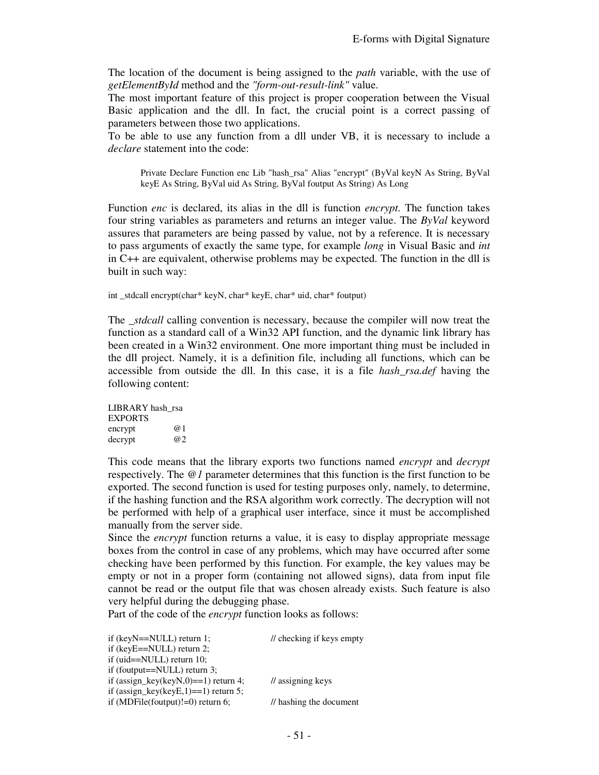The location of the document is being assigned to the *path* variable, with the use of *getElementById* method and the *"form-out-result-link"* value.

The most important feature of this project is proper cooperation between the Visual Basic application and the dll. In fact, the crucial point is a correct passing of parameters between those two applications.

To be able to use any function from a dll under VB, it is necessary to include a *declare* statement into the code:

Private Declare Function enc Lib "hash\_rsa" Alias "encrypt" (ByVal keyN As String, ByVal keyE As String, ByVal uid As String, ByVal foutput As String) As Long

Function *enc* is declared, its alias in the dll is function *encrypt*. The function takes four string variables as parameters and returns an integer value. The *ByVal* keyword assures that parameters are being passed by value, not by a reference. It is necessary to pass arguments of exactly the same type, for example *long* in Visual Basic and *int* in C++ are equivalent, otherwise problems may be expected. The function in the dll is built in such way:

int \_stdcall encrypt(char\* keyN, char\* keyE, char\* uid, char\* foutput)

The *stdcall* calling convention is necessary, because the compiler will now treat the function as a standard call of a Win32 API function, and the dynamic link library has been created in a Win32 environment. One more important thing must be included in the dll project. Namely, it is a definition file, including all functions, which can be accessible from outside the dll. In this case, it is a file *hash\_rsa.def* having the following content:

LIBRARY hash\_rsa EXPORTS encrypt @1 decrypt  $@2$ 

This code means that the library exports two functions named *encrypt* and *decrypt* respectively. The *@1* parameter determines that this function is the first function to be exported. The second function is used for testing purposes only, namely, to determine, if the hashing function and the RSA algorithm work correctly. The decryption will not be performed with help of a graphical user interface, since it must be accomplished manually from the server side.

Since the *encrypt* function returns a value, it is easy to display appropriate message boxes from the control in case of any problems, which may have occurred after some checking have been performed by this function. For example, the key values may be empty or not in a proper form (containing not allowed signs), data from input file cannot be read or the output file that was chosen already exists. Such feature is also very helpful during the debugging phase.

Part of the code of the *encrypt* function looks as follows:

| if $(keyN=NULL)$ return 1;              | // checking if keys empty    |
|-----------------------------------------|------------------------------|
| if $(keyE == NULL)$ return 2;           |                              |
| if (uid= $=$ NULL) return 10;           |                              |
| if (foutput== $\text{NULL}$ ) return 3; |                              |
| if (assign_key(keyN,0)==1) return 4;    | $\frac{1}{2}$ assigning keys |
| if (assign_key(keyE,1)==1) return 5;    |                              |
| if (MDFile(foutput)!=0) return 6;       | // hashing the document      |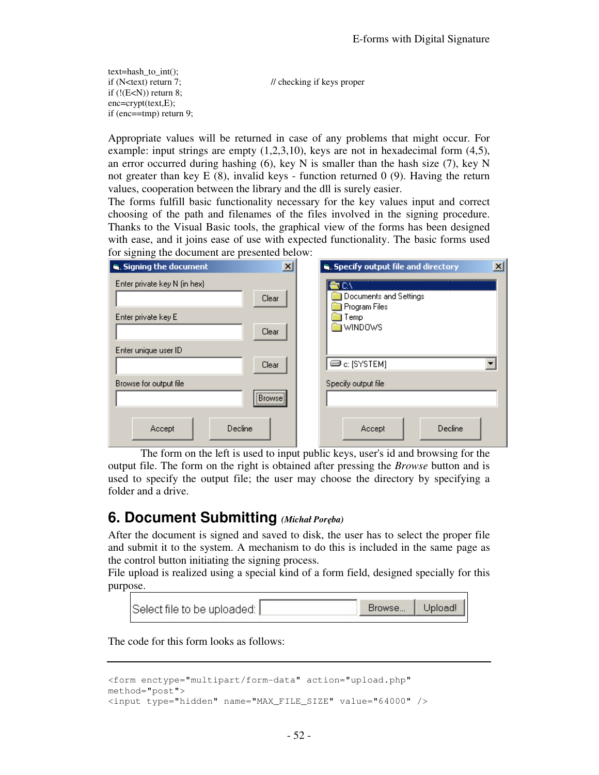text=hash to  $int()$ ; if  $(N \leq t \leq x)$  return 7;  $\frac{1}{\sqrt{2\pi}}$  // checking if keys proper if  $(!(E return 8;$ enc=crypt(text,E); if (enc==tmp) return 9;

Appropriate values will be returned in case of any problems that might occur. For example: input strings are empty  $(1,2,3,10)$ , keys are not in hexadecimal form  $(4,5)$ , an error occurred during hashing  $(6)$ , key N is smaller than the hash size  $(7)$ , key N not greater than key  $E(8)$ , invalid keys - function returned 0 (9). Having the return values, cooperation between the library and the dll is surely easier.

The forms fulfill basic functionality necessary for the key values input and correct choosing of the path and filenames of the files involved in the signing procedure. Thanks to the Visual Basic tools, the graphical view of the forms has been designed with ease, and it joins ease of use with expected functionality. The basic forms used for signing the document are presented below:

| $\vert x \vert$<br>is, Signing the document | S. Specify output file and directory<br>× |
|---------------------------------------------|-------------------------------------------|
| Enter private key N (in hex)<br>Clear       | Documents and Settings                    |
| Enter private key E                         | Program Files<br>Temp<br>WINDOWS          |
| Clear<br>Enter unique user ID               |                                           |
| Clear                                       | $\blacksquare$ c: [SYSTEM]                |
| Browse for output file<br><br>Browse!<br>   | Specify output file                       |
| Decline<br>Accept                           | Decline<br>Accept                         |

 The form on the left is used to input public keys, user's id and browsing for the output file. The form on the right is obtained after pressing the *Browse* button and is used to specify the output file; the user may choose the directory by specifying a folder and a drive.

# **6. Document Submitting** *(Michał Poręba)*

After the document is signed and saved to disk, the user has to select the proper file and submit it to the system. A mechanism to do this is included in the same page as the control button initiating the signing process.

File upload is realized using a special kind of a form field, designed specially for this purpose.

| Select file to be uploaded: | Browse   Upload! |
|-----------------------------|------------------|
|                             |                  |

The code for this form looks as follows:

```
<form enctype="multipart/form-data" action="upload.php" 
method="post"> 
<input type="hidden" name="MAX_FILE_SIZE" value="64000" />
```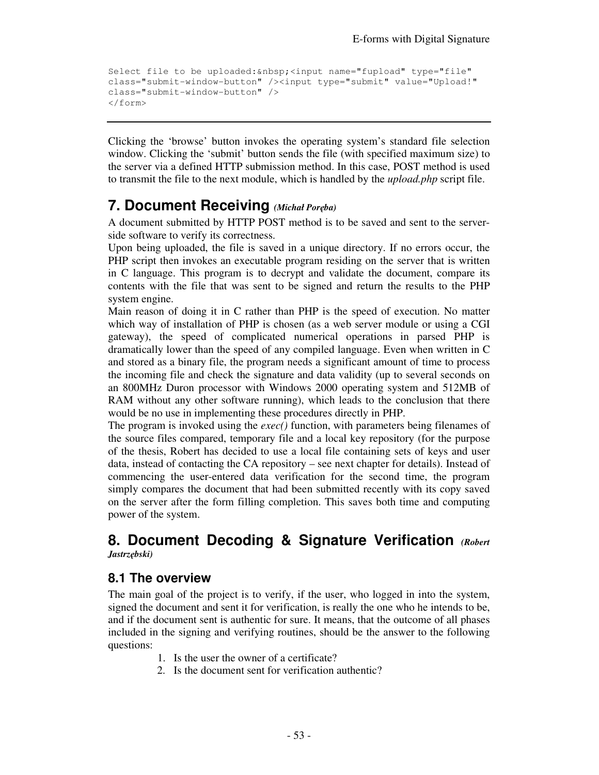```
Select file to be uploaded: <input name="fupload" type="file"
class="submit-window-button" /><input type="submit" value="Upload!" 
class="submit-window-button" /> 
</form>
```
Clicking the 'browse' button invokes the operating system's standard file selection window. Clicking the 'submit' button sends the file (with specified maximum size) to the server via a defined HTTP submission method. In this case, POST method is used to transmit the file to the next module, which is handled by the *upload.php* script file.

# **7. Document Receiving** *(Michał Poręba)*

A document submitted by HTTP POST method is to be saved and sent to the serverside software to verify its correctness.

Upon being uploaded, the file is saved in a unique directory. If no errors occur, the PHP script then invokes an executable program residing on the server that is written in C language. This program is to decrypt and validate the document, compare its contents with the file that was sent to be signed and return the results to the PHP system engine.

Main reason of doing it in C rather than PHP is the speed of execution. No matter which way of installation of PHP is chosen (as a web server module or using a CGI gateway), the speed of complicated numerical operations in parsed PHP is dramatically lower than the speed of any compiled language. Even when written in C and stored as a binary file, the program needs a significant amount of time to process the incoming file and check the signature and data validity (up to several seconds on an 800MHz Duron processor with Windows 2000 operating system and 512MB of RAM without any other software running), which leads to the conclusion that there would be no use in implementing these procedures directly in PHP.

The program is invoked using the *exec()* function, with parameters being filenames of the source files compared, temporary file and a local key repository (for the purpose of the thesis, Robert has decided to use a local file containing sets of keys and user data, instead of contacting the CA repository – see next chapter for details). Instead of commencing the user-entered data verification for the second time, the program simply compares the document that had been submitted recently with its copy saved on the server after the form filling completion. This saves both time and computing power of the system.

## **8. Document Decoding & Signature Verification** *(Robert Jastrzębski)*

### **8.1 The overview**

The main goal of the project is to verify, if the user, who logged in into the system, signed the document and sent it for verification, is really the one who he intends to be, and if the document sent is authentic for sure. It means, that the outcome of all phases included in the signing and verifying routines, should be the answer to the following questions:

- 1. Is the user the owner of a certificate?
- 2. Is the document sent for verification authentic?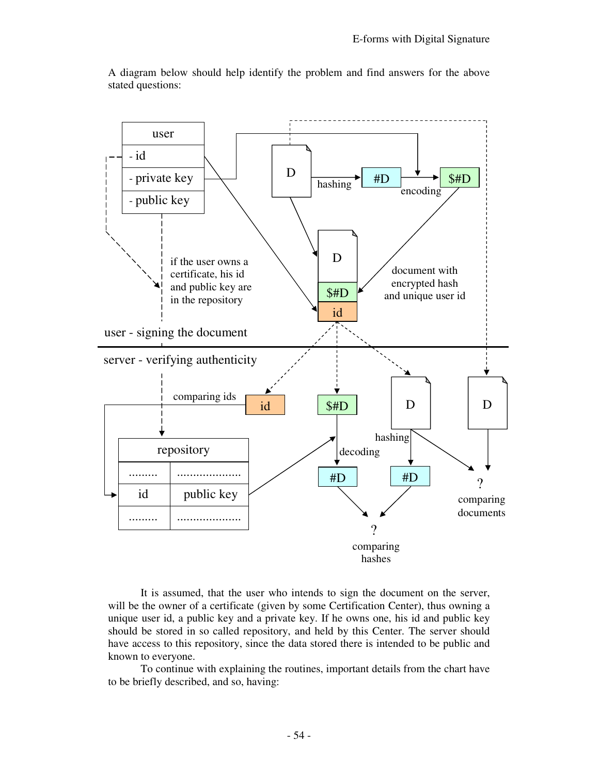

A diagram below should help identify the problem and find answers for the above stated questions:

 It is assumed, that the user who intends to sign the document on the server, will be the owner of a certificate (given by some Certification Center), thus owning a unique user id, a public key and a private key. If he owns one, his id and public key should be stored in so called repository, and held by this Center. The server should have access to this repository, since the data stored there is intended to be public and known to everyone.

 To continue with explaining the routines, important details from the chart have to be briefly described, and so, having: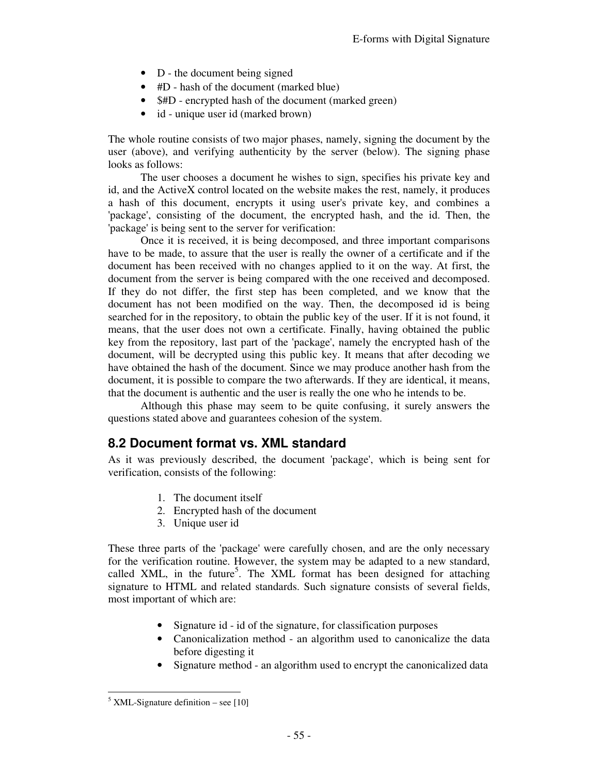- D the document being signed
- #D hash of the document (marked blue)
- \$#D encrypted hash of the document (marked green)
- id unique user id (marked brown)

The whole routine consists of two major phases, namely, signing the document by the user (above), and verifying authenticity by the server (below). The signing phase looks as follows:

 The user chooses a document he wishes to sign, specifies his private key and id, and the ActiveX control located on the website makes the rest, namely, it produces a hash of this document, encrypts it using user's private key, and combines a 'package', consisting of the document, the encrypted hash, and the id. Then, the 'package' is being sent to the server for verification:

 Once it is received, it is being decomposed, and three important comparisons have to be made, to assure that the user is really the owner of a certificate and if the document has been received with no changes applied to it on the way. At first, the document from the server is being compared with the one received and decomposed. If they do not differ, the first step has been completed, and we know that the document has not been modified on the way. Then, the decomposed id is being searched for in the repository, to obtain the public key of the user. If it is not found, it means, that the user does not own a certificate. Finally, having obtained the public key from the repository, last part of the 'package', namely the encrypted hash of the document, will be decrypted using this public key. It means that after decoding we have obtained the hash of the document. Since we may produce another hash from the document, it is possible to compare the two afterwards. If they are identical, it means, that the document is authentic and the user is really the one who he intends to be.

 Although this phase may seem to be quite confusing, it surely answers the questions stated above and guarantees cohesion of the system.

### **8.2 Document format vs. XML standard**

As it was previously described, the document 'package', which is being sent for verification, consists of the following:

- 1. The document itself
- 2. Encrypted hash of the document
- 3. Unique user id

These three parts of the 'package' were carefully chosen, and are the only necessary for the verification routine. However, the system may be adapted to a new standard, called XML, in the future<sup>5</sup>. The XML format has been designed for attaching signature to HTML and related standards. Such signature consists of several fields, most important of which are:

- Signature id id of the signature, for classification purposes
- Canonicalization method an algorithm used to canonicalize the data before digesting it
- Signature method an algorithm used to encrypt the canonicalized data

-

 $<sup>5</sup>$  XML-Signature definition – see [10]</sup>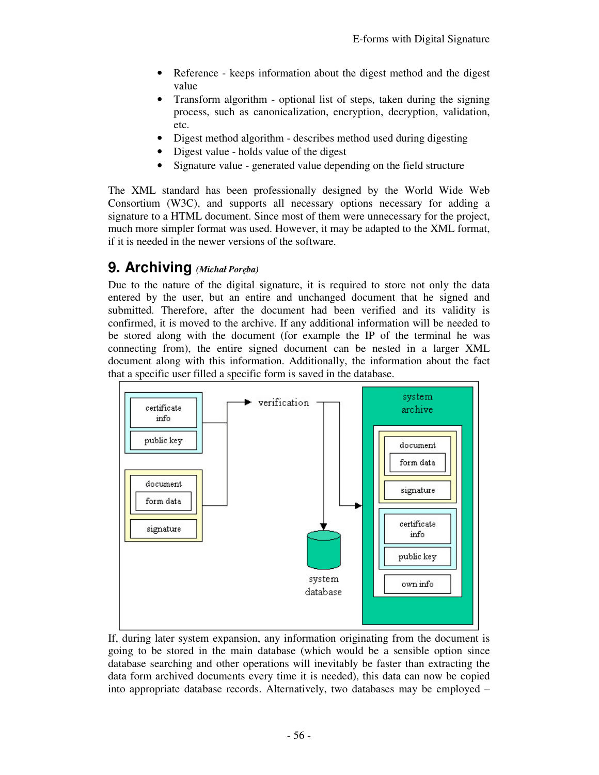- Reference keeps information about the digest method and the digest value
- Transform algorithm optional list of steps, taken during the signing process, such as canonicalization, encryption, decryption, validation, etc.
- Digest method algorithm describes method used during digesting
- Digest value holds value of the digest
- Signature value generated value depending on the field structure

The XML standard has been professionally designed by the World Wide Web Consortium (W3C), and supports all necessary options necessary for adding a signature to a HTML document. Since most of them were unnecessary for the project, much more simpler format was used. However, it may be adapted to the XML format, if it is needed in the newer versions of the software.

# **9. Archiving** *(Michał Poręba)*

Due to the nature of the digital signature, it is required to store not only the data entered by the user, but an entire and unchanged document that he signed and submitted. Therefore, after the document had been verified and its validity is confirmed, it is moved to the archive. If any additional information will be needed to be stored along with the document (for example the IP of the terminal he was connecting from), the entire signed document can be nested in a larger XML document along with this information. Additionally, the information about the fact that a specific user filled a specific form is saved in the database.



If, during later system expansion, any information originating from the document is going to be stored in the main database (which would be a sensible option since database searching and other operations will inevitably be faster than extracting the data form archived documents every time it is needed), this data can now be copied into appropriate database records. Alternatively, two databases may be employed –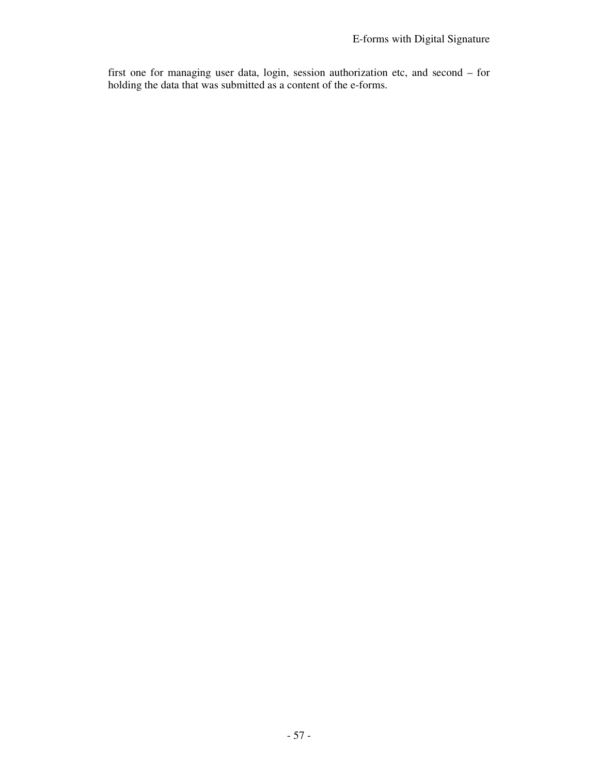first one for managing user data, login, session authorization etc, and second – for holding the data that was submitted as a content of the e-forms.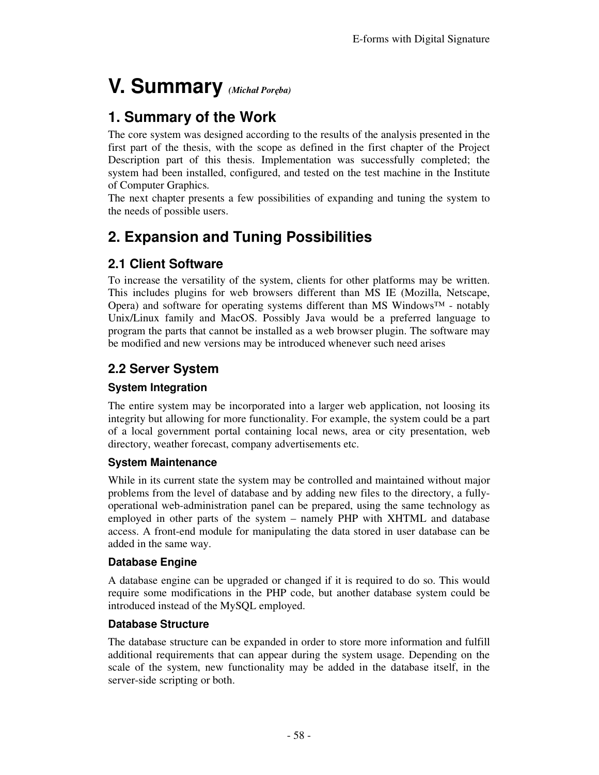# **V. Summary** *(Michał Poręba)*

# **1. Summary of the Work**

The core system was designed according to the results of the analysis presented in the first part of the thesis, with the scope as defined in the first chapter of the Project Description part of this thesis. Implementation was successfully completed; the system had been installed, configured, and tested on the test machine in the Institute of Computer Graphics.

The next chapter presents a few possibilities of expanding and tuning the system to the needs of possible users.

# **2. Expansion and Tuning Possibilities**

# **2.1 Client Software**

To increase the versatility of the system, clients for other platforms may be written. This includes plugins for web browsers different than MS IE (Mozilla, Netscape, Opera) and software for operating systems different than MS Windows<sup>™</sup> - notably Unix/Linux family and MacOS. Possibly Java would be a preferred language to program the parts that cannot be installed as a web browser plugin. The software may be modified and new versions may be introduced whenever such need arises

# **2.2 Server System**

### **System Integration**

The entire system may be incorporated into a larger web application, not loosing its integrity but allowing for more functionality. For example, the system could be a part of a local government portal containing local news, area or city presentation, web directory, weather forecast, company advertisements etc.

### **System Maintenance**

While in its current state the system may be controlled and maintained without major problems from the level of database and by adding new files to the directory, a fullyoperational web-administration panel can be prepared, using the same technology as employed in other parts of the system – namely PHP with XHTML and database access. A front-end module for manipulating the data stored in user database can be added in the same way.

### **Database Engine**

A database engine can be upgraded or changed if it is required to do so. This would require some modifications in the PHP code, but another database system could be introduced instead of the MySQL employed.

### **Database Structure**

The database structure can be expanded in order to store more information and fulfill additional requirements that can appear during the system usage. Depending on the scale of the system, new functionality may be added in the database itself, in the server-side scripting or both.